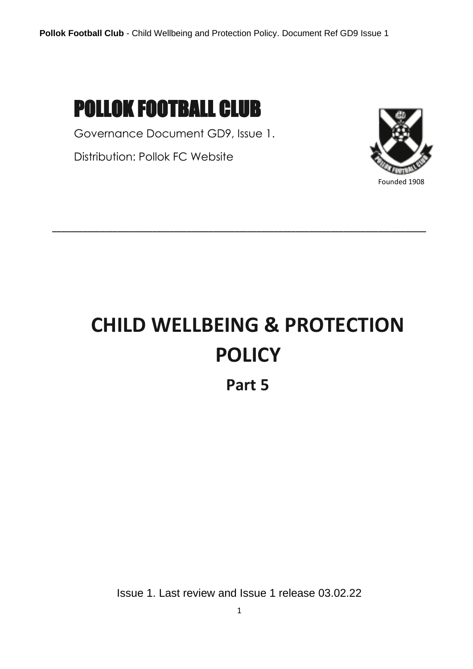

Governance Document GD9, Issue 1.

Distribution: Pollok FC Website



Founded 1908

# **CHILD WELLBEING & PROTECTION POLICY**

**\_\_\_\_\_\_\_\_\_\_\_\_\_\_\_\_\_\_\_\_\_\_\_\_\_\_\_\_\_\_\_\_\_\_\_\_\_\_\_\_\_\_\_\_\_\_\_\_\_\_\_\_\_\_\_\_\_\_\_\_\_\_\_\_\_\_\_\_\_\_\_\_\_\_\_\_\_\_\_\_\_\_\_\_\_\_**

**Part 5**

Issue 1. Last review and Issue 1 release 03.02.22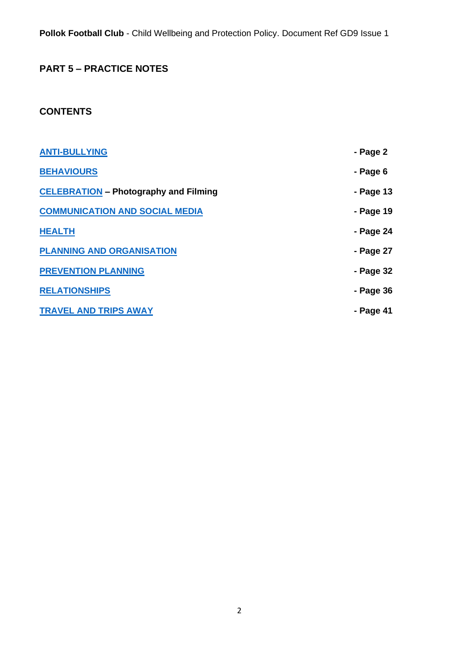**Pollok Football Club** - Child Wellbeing and Protection Policy. Document Ref GD9 Issue 1

# **PART 5 – PRACTICE NOTES**

# **CONTENTS**

| <b>ANTI-BULLYING</b>                         | - Page 2  |
|----------------------------------------------|-----------|
| <b>BEHAVIOURS</b>                            | - Page 6  |
| <b>CELEBRATION</b> - Photography and Filming | - Page 13 |
| <b>COMMUNICATION AND SOCIAL MEDIA</b>        | - Page 19 |
| <b>HEALTH</b>                                | - Page 24 |
| <b>PLANNING AND ORGANISATION</b>             | - Page 27 |
| <b>PREVENTION PLANNING</b>                   | - Page 32 |
| <b>RELATIONSHIPS</b>                         | - Page 36 |
| <b>TRAVEL AND TRIPS AWAY</b>                 | - Page 41 |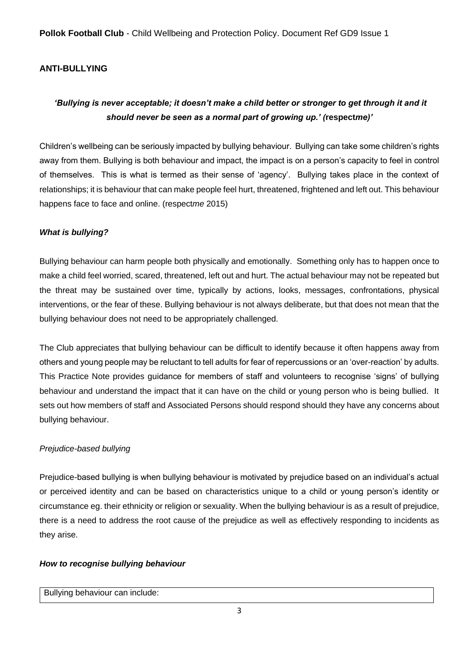**Pollok Football Club** - Child Wellbeing and Protection Policy. Document Ref GD9 Issue 1

# <span id="page-2-0"></span>**ANTI-BULLYING**

# *'Bullying is never acceptable; it doesn't make a child better or stronger to get through it and it should never be seen as a normal part of growing up.' (***respect***me)'*

Children's wellbeing can be seriously impacted by bullying behaviour. Bullying can take some children's rights away from them. Bullying is both behaviour and impact, the impact is on a person's capacity to feel in control of themselves. This is what is termed as their sense of 'agency'. Bullying takes place in the context of relationships; it is behaviour that can make people feel hurt, threatened, frightened and left out. This behaviour happens face to face and online. (respect*me* 2015)

# *What is bullying?*

Bullying behaviour can harm people both physically and emotionally. Something only has to happen once to make a child feel worried, scared, threatened, left out and hurt. The actual behaviour may not be repeated but the threat may be sustained over time, typically by actions, looks, messages, confrontations, physical interventions, or the fear of these. Bullying behaviour is not always deliberate, but that does not mean that the bullying behaviour does not need to be appropriately challenged.

The Club appreciates that bullying behaviour can be difficult to identify because it often happens away from others and young people may be reluctant to tell adults for fear of repercussions or an 'over-reaction' by adults. This Practice Note provides guidance for members of staff and volunteers to recognise 'signs' of bullying behaviour and understand the impact that it can have on the child or young person who is being bullied. It sets out how members of staff and Associated Persons should respond should they have any concerns about bullying behaviour.

# *Prejudice-based bullying*

Prejudice-based bullying is when bullying behaviour is motivated by prejudice based on an individual's actual or perceived identity and can be based on characteristics unique to a child or young person's identity or circumstance eg. their ethnicity or religion or sexuality. When the bullying behaviour is as a result of prejudice, there is a need to address the root cause of the prejudice as well as effectively responding to incidents as they arise.

# *How to recognise bullying behaviour*

#### Bullying behaviour can include: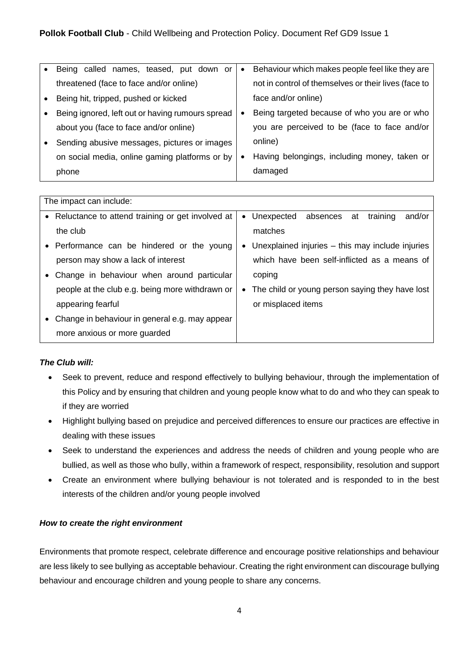| Being called names, teased, put down or          | $\bullet$ | Behaviour which makes people feel like they are      |
|--------------------------------------------------|-----------|------------------------------------------------------|
| threatened (face to face and/or online)          |           | not in control of themselves or their lives (face to |
| Being hit, tripped, pushed or kicked             |           | face and/or online)                                  |
| Being ignored, left out or having rumours spread |           | Being targeted because of who you are or who         |
| about you (face to face and/or online)           |           | you are perceived to be (face to face and/or         |
| Sending abusive messages, pictures or images     |           | online)                                              |
| on social media, online gaming platforms or by   | ٠         | Having belongings, including money, taken or         |
| phone                                            |           | damaged                                              |

|           | The impact can include:                            |           |                                                  |
|-----------|----------------------------------------------------|-----------|--------------------------------------------------|
|           | • Reluctance to attend training or get involved at | $\bullet$ | absences at<br>Unexpected<br>training<br>and/or  |
|           | the club                                           |           | matches                                          |
|           | • Performance can be hindered or the young         | $\bullet$ | Unexplained injuries – this may include injuries |
|           | person may show a lack of interest                 |           | which have been self-inflicted as a means of     |
|           | Change in behaviour when around particular         |           | coping                                           |
|           | people at the club e.g. being more withdrawn or    | $\bullet$ | The child or young person saying they have lost  |
|           | appearing fearful                                  |           | or misplaced items                               |
| $\bullet$ | Change in behaviour in general e.g. may appear     |           |                                                  |
|           | more anxious or more guarded                       |           |                                                  |

# *The Club will:*

- Seek to prevent, reduce and respond effectively to bullying behaviour, through the implementation of this Policy and by ensuring that children and young people know what to do and who they can speak to if they are worried
- Highlight bullying based on prejudice and perceived differences to ensure our practices are effective in dealing with these issues
- Seek to understand the experiences and address the needs of children and young people who are bullied, as well as those who bully, within a framework of respect, responsibility, resolution and support
- Create an environment where bullying behaviour is not tolerated and is responded to in the best interests of the children and/or young people involved

# *How to create the right environment*

Environments that promote respect, celebrate difference and encourage positive relationships and behaviour are less likely to see bullying as acceptable behaviour. Creating the right environment can discourage bullying behaviour and encourage children and young people to share any concerns.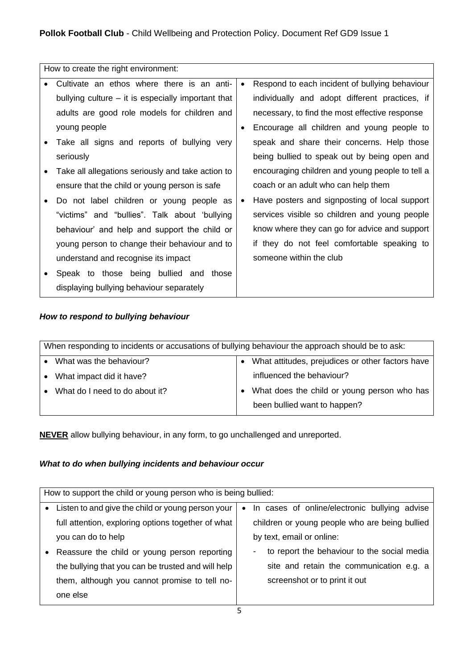| How to create the right environment:                 |           |                                                 |
|------------------------------------------------------|-----------|-------------------------------------------------|
| Cultivate an ethos where there is an anti-           | $\bullet$ | Respond to each incident of bullying behaviour  |
| bullying culture $-$ it is especially important that |           | individually and adopt different practices, if  |
| adults are good role models for children and         |           | necessary, to find the most effective response  |
| young people                                         | ٠         | Encourage all children and young people to      |
| Take all signs and reports of bullying very          |           | speak and share their concerns. Help those      |
| seriously                                            |           | being bullied to speak out by being open and    |
| Take all allegations seriously and take action to    |           | encouraging children and young people to tell a |
| ensure that the child or young person is safe        |           | coach or an adult who can help them             |
| Do not label children or young people as             | $\bullet$ | Have posters and signposting of local support   |
| "victims" and "bullies". Talk about 'bullying        |           | services visible so children and young people   |
| behaviour' and help and support the child or         |           | know where they can go for advice and support   |
| young person to change their behaviour and to        |           | if they do not feel comfortable speaking to     |
| understand and recognise its impact                  |           | someone within the club                         |
| Speak to those being bullied and those               |           |                                                 |
| displaying bullying behaviour separately             |           |                                                 |

# *How to respond to bullying behaviour*

| When responding to incidents or accusations of bullying behaviour the approach should be to ask: |  |                                                  |  |
|--------------------------------------------------------------------------------------------------|--|--------------------------------------------------|--|
| What was the behaviour?                                                                          |  | What attitudes, prejudices or other factors have |  |
| What impact did it have?                                                                         |  | influenced the behaviour?                        |  |
| What do I need to do about it?                                                                   |  | What does the child or young person who has      |  |
|                                                                                                  |  | been bullied want to happen?                     |  |
|                                                                                                  |  |                                                  |  |

**NEVER** allow bullying behaviour, in any form, to go unchallenged and unreported.

# *What to do when bullying incidents and behaviour occur*

|           | How to support the child or young person who is being bullied: |           |                                                |
|-----------|----------------------------------------------------------------|-----------|------------------------------------------------|
|           | Listen to and give the child or young person your              | $\bullet$ | In cases of online/electronic bullying advise  |
|           | full attention, exploring options together of what             |           | children or young people who are being bullied |
|           | you can do to help                                             |           | by text, email or online:                      |
| $\bullet$ | Reassure the child or young person reporting                   |           | to report the behaviour to the social media    |
|           | the bullying that you can be trusted and will help             |           | site and retain the communication e.g. a       |
|           | them, although you cannot promise to tell no-                  |           | screenshot or to print it out                  |
|           | one else                                                       |           |                                                |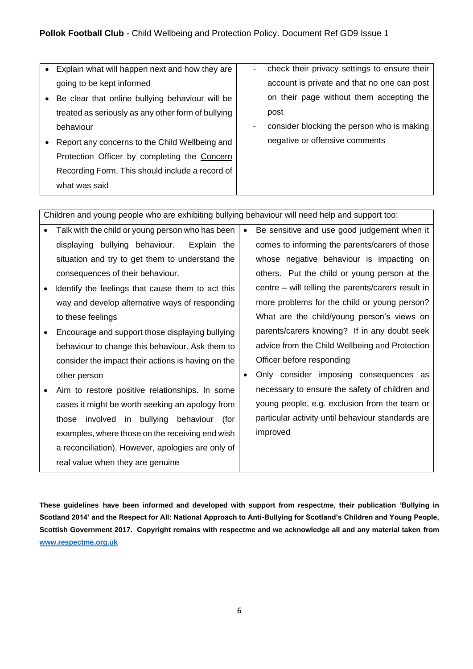| Explain what will happen next and how they are     | $\blacksquare$ | check their privacy settings to ensure their |
|----------------------------------------------------|----------------|----------------------------------------------|
| going to be kept informed                          |                | account is private and that no one can post  |
| Be clear that online bullying behaviour will be    |                | on their page without them accepting the     |
| treated as seriously as any other form of bullying |                | post                                         |
| behaviour                                          | -              | consider blocking the person who is making   |
| Report any concerns to the Child Wellbeing and     |                | negative or offensive comments               |
| Protection Officer by completing the Concern       |                |                                              |
| Recording Form. This should include a record of    |                |                                              |
| what was said                                      |                |                                              |
|                                                    |                |                                              |

Children and young people who are exhibiting bullying behaviour will need help and support too:

|           | Talk with the child or young person who has been   | Be sensitive and use good judgement when it                                                                    |
|-----------|----------------------------------------------------|----------------------------------------------------------------------------------------------------------------|
|           | bullying behaviour.<br>Explain the<br>displaying   | comes to informing the parents/carers of those                                                                 |
|           | situation and try to get them to understand the    | whose negative behaviour is impacting on                                                                       |
|           | consequences of their behaviour.                   | others. Put the child or young person at the                                                                   |
| $\bullet$ | Identify the feelings that cause them to act this  | centre – will telling the parents/carers result in                                                             |
|           | way and develop alternative ways of responding     | more problems for the child or young person?                                                                   |
|           | to these feelings                                  | What are the child/young person's views on                                                                     |
| $\bullet$ | Encourage and support those displaying bullying    | parents/carers knowing? If in any doubt seek                                                                   |
|           | behaviour to change this behaviour. Ask them to    | advice from the Child Wellbeing and Protection                                                                 |
|           | consider the impact their actions is having on the | Officer before responding                                                                                      |
|           | other person                                       | Only consider imposing consequences as                                                                         |
| $\bullet$ | Aim to restore positive relationships. In some     | necessary to ensure the safety of children and                                                                 |
|           |                                                    | the common state of the common state of the common state of the common state of the common state of the common |

cases it might be worth seeking an apology from those involved in bullying behaviour (for examples, where those on the receiving end wish a reconciliation). However, apologies are only of real value when they are genuine young people, e.g. exclusion from the team or particular activity until behaviour standards are improved

**These guidelines have been informed and developed with support from respect***me***, their publication 'Bullying in Scotland 2014' and the Respect for All: National Approach to Anti-Bullying for Scotland's Children and Young People, Scottish Government 2017. Copyright remains with respectme and we acknowledge all and any material taken from [www.respectme.org.uk](http://www.respectme.org.uk/)**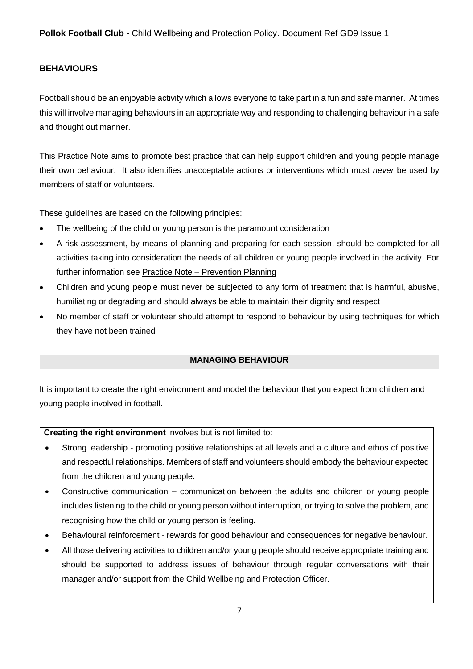# <span id="page-6-0"></span>**BEHAVIOURS**

Football should be an enjoyable activity which allows everyone to take part in a fun and safe manner. At times this will involve managing behaviours in an appropriate way and responding to challenging behaviour in a safe and thought out manner.

This Practice Note aims to promote best practice that can help support children and young people manage their own behaviour. It also identifies unacceptable actions or interventions which must *never* be used by members of staff or volunteers.

These guidelines are based on the following principles:

- The wellbeing of the child or young person is the paramount consideration
- A risk assessment, by means of planning and preparing for each session, should be completed for all activities taking into consideration the needs of all children or young people involved in the activity. For further information see Practice Note – Prevention Planning
- Children and young people must never be subjected to any form of treatment that is harmful, abusive, humiliating or degrading and should always be able to maintain their dignity and respect
- No member of staff or volunteer should attempt to respond to behaviour by using techniques for which they have not been trained

# **MANAGING BEHAVIOUR**

It is important to create the right environment and model the behaviour that you expect from children and young people involved in football.

**Creating the right environment** involves but is not limited to:

- Strong leadership promoting positive relationships at all levels and a culture and ethos of positive and respectful relationships. Members of staff and volunteers should embody the behaviour expected from the children and young people.
- Constructive communication communication between the adults and children or young people includes listening to the child or young person without interruption, or trying to solve the problem, and recognising how the child or young person is feeling.
- Behavioural reinforcement rewards for good behaviour and consequences for negative behaviour.
- All those delivering activities to children and/or young people should receive appropriate training and should be supported to address issues of behaviour through regular conversations with their manager and/or support from the Child Wellbeing and Protection Officer.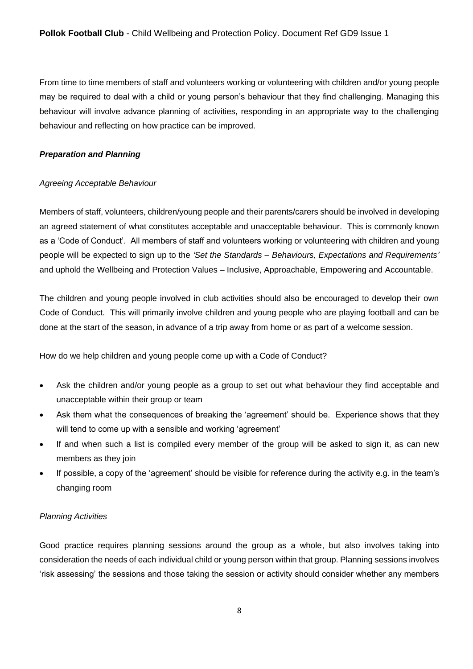From time to time members of staff and volunteers working or volunteering with children and/or young people may be required to deal with a child or young person's behaviour that they find challenging. Managing this behaviour will involve advance planning of activities, responding in an appropriate way to the challenging behaviour and reflecting on how practice can be improved.

#### *Preparation and Planning*

#### *Agreeing Acceptable Behaviour*

Members of staff, volunteers, children/young people and their parents/carers should be involved in developing an agreed statement of what constitutes acceptable and unacceptable behaviour. This is commonly known as a 'Code of Conduct'. All members of staff and volunteers working or volunteering with children and young people will be expected to sign up to the *'Set the Standards – Behaviours, Expectations and Requirements'* and uphold the Wellbeing and Protection Values – Inclusive, Approachable, Empowering and Accountable.

The children and young people involved in club activities should also be encouraged to develop their own Code of Conduct. This will primarily involve children and young people who are playing football and can be done at the start of the season, in advance of a trip away from home or as part of a welcome session.

How do we help children and young people come up with a Code of Conduct?

- Ask the children and/or young people as a group to set out what behaviour they find acceptable and unacceptable within their group or team
- Ask them what the consequences of breaking the 'agreement' should be. Experience shows that they will tend to come up with a sensible and working 'agreement'
- If and when such a list is compiled every member of the group will be asked to sign it, as can new members as they join
- If possible, a copy of the 'agreement' should be visible for reference during the activity e.g. in the team's changing room

# *Planning Activities*

Good practice requires planning sessions around the group as a whole, but also involves taking into consideration the needs of each individual child or young person within that group. Planning sessions involves 'risk assessing' the sessions and those taking the session or activity should consider whether any members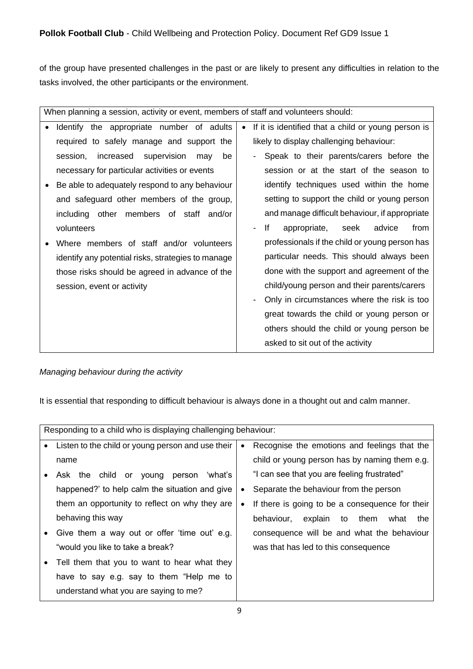of the group have presented challenges in the past or are likely to present any difficulties in relation to the tasks involved, the other participants or the environment.

| When planning a session, activity or event, members of staff and volunteers should:                                                                                                                                                                                                                                                                                                                                                                                                                                                    |                                                                                                                                                                                                                                                                                                                                                                                                                                                                                                                                                                                                                               |  |
|----------------------------------------------------------------------------------------------------------------------------------------------------------------------------------------------------------------------------------------------------------------------------------------------------------------------------------------------------------------------------------------------------------------------------------------------------------------------------------------------------------------------------------------|-------------------------------------------------------------------------------------------------------------------------------------------------------------------------------------------------------------------------------------------------------------------------------------------------------------------------------------------------------------------------------------------------------------------------------------------------------------------------------------------------------------------------------------------------------------------------------------------------------------------------------|--|
| Identify the appropriate number of adults<br>required to safely manage and support the<br>session.<br>increased<br>supervision<br>be<br>may<br>necessary for particular activities or events<br>Be able to adequately respond to any behaviour<br>and safeguard other members of the group,<br>including other members of staff and/or<br>volunteers<br>Where members of staff and/or volunteers<br>identify any potential risks, strategies to manage<br>those risks should be agreed in advance of the<br>session, event or activity | If it is identified that a child or young person is<br>likely to display challenging behaviour:<br>Speak to their parents/carers before the<br>session or at the start of the season to<br>identify techniques used within the home<br>setting to support the child or young person<br>and manage difficult behaviour, if appropriate<br>lf<br>from<br>appropriate, seek<br>advice<br>professionals if the child or young person has<br>particular needs. This should always been<br>done with the support and agreement of the<br>child/young person and their parents/carers<br>Only in circumstances where the risk is too |  |
|                                                                                                                                                                                                                                                                                                                                                                                                                                                                                                                                        | great towards the child or young person or<br>others should the child or young person be<br>asked to sit out of the activity                                                                                                                                                                                                                                                                                                                                                                                                                                                                                                  |  |

# *Managing behaviour during the activity*

It is essential that responding to difficult behaviour is always done in a thought out and calm manner.

|           | Responding to a child who is displaying challenging behaviour: |           |                                                 |
|-----------|----------------------------------------------------------------|-----------|-------------------------------------------------|
|           | Listen to the child or young person and use their              | $\bullet$ | Recognise the emotions and feelings that the    |
|           | name                                                           |           | child or young person has by naming them e.g.   |
|           | Ask the child or young<br>person<br>'what's                    |           | "I can see that you are feeling frustrated"     |
|           | happened?' to help calm the situation and give                 | ٠         | Separate the behaviour from the person          |
|           | them an opportunity to reflect on why they are                 | $\bullet$ | If there is going to be a consequence for their |
|           | behaving this way                                              |           | behaviour,<br>explain to them<br>what<br>the    |
| $\bullet$ | Give them a way out or offer 'time out' e.g.                   |           | consequence will be and what the behaviour      |
|           | "would you like to take a break?                               |           | was that has led to this consequence            |
| $\bullet$ | Tell them that you to want to hear what they                   |           |                                                 |
|           | have to say e.g. say to them "Help me to                       |           |                                                 |
|           | understand what you are saying to me?                          |           |                                                 |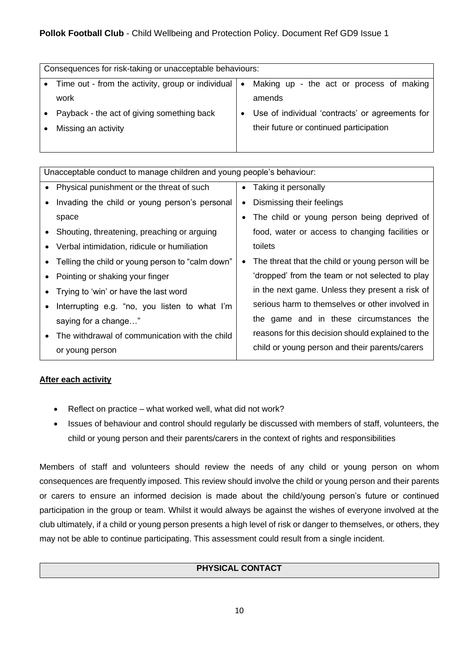# **Pollok Football Club** - Child Wellbeing and Protection Policy. Document Ref GD9 Issue 1

| Consequences for risk-taking or unacceptable behaviours: |           |                                                 |
|----------------------------------------------------------|-----------|-------------------------------------------------|
| Time out - from the activity, group or individual        | $\bullet$ | Making up - the act or process of making        |
| work                                                     |           | amends                                          |
| Payback - the act of giving something back               |           | Use of individual 'contracts' or agreements for |
| Missing an activity                                      |           | their future or continued participation         |
|                                                          |           |                                                 |

| Unacceptable conduct to manage children and young people's behaviour: |                                                                |  |
|-----------------------------------------------------------------------|----------------------------------------------------------------|--|
| • Physical punishment or the threat of such                           | Taking it personally<br>$\bullet$                              |  |
| Invading the child or young person's personal                         | Dismissing their feelings<br>٠                                 |  |
| space                                                                 | The child or young person being deprived of                    |  |
| Shouting, threatening, preaching or arguing                           | food, water or access to changing facilities or                |  |
| Verbal intimidation, ridicule or humiliation                          | toilets                                                        |  |
| Telling the child or young person to "calm down"                      | The threat that the child or young person will be<br>$\bullet$ |  |
| Pointing or shaking your finger                                       | 'dropped' from the team or not selected to play                |  |
| Trying to 'win' or have the last word                                 | in the next game. Unless they present a risk of                |  |
| Interrupting e.g. "no, you listen to what I'm                         | serious harm to themselves or other involved in                |  |
| saying for a change"                                                  | the game and in these circumstances the                        |  |
| The withdrawal of communication with the child                        | reasons for this decision should explained to the              |  |
| or young person                                                       | child or young person and their parents/carers                 |  |

# **After each activity**

- Reflect on practice what worked well, what did not work?
- Issues of behaviour and control should regularly be discussed with members of staff, volunteers, the child or young person and their parents/carers in the context of rights and responsibilities

Members of staff and volunteers should review the needs of any child or young person on whom consequences are frequently imposed. This review should involve the child or young person and their parents or carers to ensure an informed decision is made about the child/young person's future or continued participation in the group or team. Whilst it would always be against the wishes of everyone involved at the club ultimately, if a child or young person presents a high level of risk or danger to themselves, or others, they may not be able to continue participating. This assessment could result from a single incident.

# **PHYSICAL CONTACT**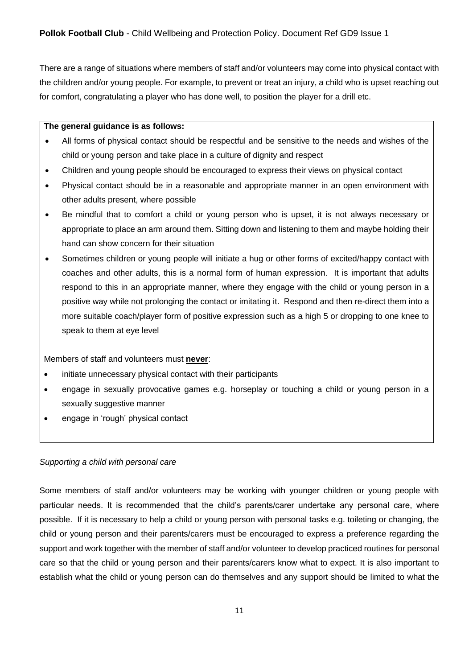There are a range of situations where members of staff and/or volunteers may come into physical contact with the children and/or young people. For example, to prevent or treat an injury, a child who is upset reaching out for comfort, congratulating a player who has done well, to position the player for a drill etc.

#### **The general guidance is as follows:**

- All forms of physical contact should be respectful and be sensitive to the needs and wishes of the child or young person and take place in a culture of dignity and respect
- Children and young people should be encouraged to express their views on physical contact
- Physical contact should be in a reasonable and appropriate manner in an open environment with other adults present, where possible
- Be mindful that to comfort a child or young person who is upset, it is not always necessary or appropriate to place an arm around them. Sitting down and listening to them and maybe holding their hand can show concern for their situation
- Sometimes children or young people will initiate a hug or other forms of excited/happy contact with coaches and other adults, this is a normal form of human expression. It is important that adults respond to this in an appropriate manner, where they engage with the child or young person in a positive way while not prolonging the contact or imitating it. Respond and then re-direct them into a more suitable coach/player form of positive expression such as a high 5 or dropping to one knee to speak to them at eye level

Members of staff and volunteers must **never**:

- initiate unnecessary physical contact with their participants
- engage in sexually provocative games e.g. horseplay or touching a child or young person in a sexually suggestive manner
- engage in 'rough' physical contact

#### *Supporting a child with personal care*

Some members of staff and/or volunteers may be working with younger children or young people with particular needs. It is recommended that the child's parents/carer undertake any personal care, where possible. If it is necessary to help a child or young person with personal tasks e.g. toileting or changing, the child or young person and their parents/carers must be encouraged to express a preference regarding the support and work together with the member of staff and/or volunteer to develop practiced routines for personal care so that the child or young person and their parents/carers know what to expect. It is also important to establish what the child or young person can do themselves and any support should be limited to what the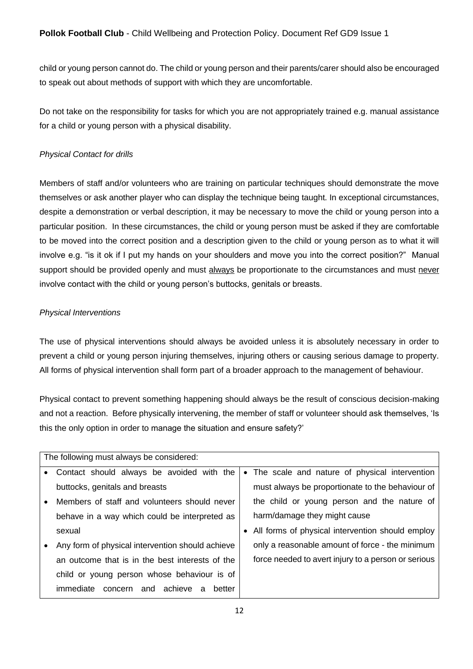child or young person cannot do. The child or young person and their parents/carer should also be encouraged to speak out about methods of support with which they are uncomfortable.

Do not take on the responsibility for tasks for which you are not appropriately trained e.g. manual assistance for a child or young person with a physical disability.

# *Physical Contact for drills*

Members of staff and/or volunteers who are training on particular techniques should demonstrate the move themselves or ask another player who can display the technique being taught. In exceptional circumstances, despite a demonstration or verbal description, it may be necessary to move the child or young person into a particular position. In these circumstances, the child or young person must be asked if they are comfortable to be moved into the correct position and a description given to the child or young person as to what it will involve e.g. "is it ok if I put my hands on your shoulders and move you into the correct position?" Manual support should be provided openly and must always be proportionate to the circumstances and must never involve contact with the child or young person's buttocks, genitals or breasts.

# *Physical Interventions*

The use of physical interventions should always be avoided unless it is absolutely necessary in order to prevent a child or young person injuring themselves, injuring others or causing serious damage to property. All forms of physical intervention shall form part of a broader approach to the management of behaviour.

Physical contact to prevent something happening should always be the result of conscious decision-making and not a reaction. Before physically intervening, the member of staff or volunteer should ask themselves, 'Is this the only option in order to manage the situation and ensure safety?'

| The following must always be considered: |                                                  |  |                                                     |
|------------------------------------------|--------------------------------------------------|--|-----------------------------------------------------|
|                                          | • Contact should always be avoided with the      |  | • The scale and nature of physical intervention     |
|                                          | buttocks, genitals and breasts                   |  | must always be proportionate to the behaviour of    |
| $\bullet$                                | Members of staff and volunteers should never     |  | the child or young person and the nature of         |
|                                          | behave in a way which could be interpreted as    |  | harm/damage they might cause                        |
|                                          | sexual                                           |  | • All forms of physical intervention should employ  |
|                                          | Any form of physical intervention should achieve |  | only a reasonable amount of force - the minimum     |
|                                          | an outcome that is in the best interests of the  |  | force needed to avert injury to a person or serious |
|                                          | child or young person whose behaviour is of      |  |                                                     |
|                                          | concern and achieve<br>immediate<br>better<br>a  |  |                                                     |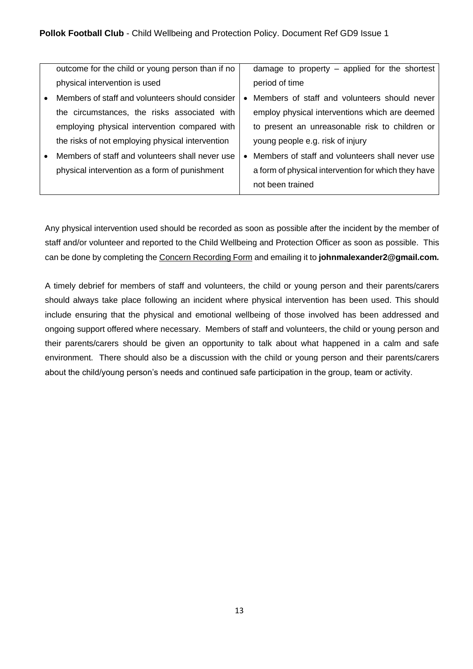|           | outcome for the child or young person than if no |           | damage to property - applied for the shortest       |
|-----------|--------------------------------------------------|-----------|-----------------------------------------------------|
|           | physical intervention is used                    |           | period of time                                      |
| $\bullet$ | Members of staff and volunteers should consider  |           | Members of staff and volunteers should never        |
|           | the circumstances, the risks associated with     |           | employ physical interventions which are deemed      |
|           | employing physical intervention compared with    |           | to present an unreasonable risk to children or      |
|           | the risks of not employing physical intervention |           | young people e.g. risk of injury                    |
|           | Members of staff and volunteers shall never use  | $\bullet$ | Members of staff and volunteers shall never use     |
|           | physical intervention as a form of punishment    |           | a form of physical intervention for which they have |
|           |                                                  |           | not been trained                                    |

Any physical intervention used should be recorded as soon as possible after the incident by the member of staff and/or volunteer and reported to the Child Wellbeing and Protection Officer as soon as possible. This can be done by completing the Concern Recording Form and emailing it to **johnmalexander2@gmail.com***.*

A timely debrief for members of staff and volunteers, the child or young person and their parents/carers should always take place following an incident where physical intervention has been used. This should include ensuring that the physical and emotional wellbeing of those involved has been addressed and ongoing support offered where necessary. Members of staff and volunteers, the child or young person and their parents/carers should be given an opportunity to talk about what happened in a calm and safe environment. There should also be a discussion with the child or young person and their parents/carers about the child/young person's needs and continued safe participation in the group, team or activity.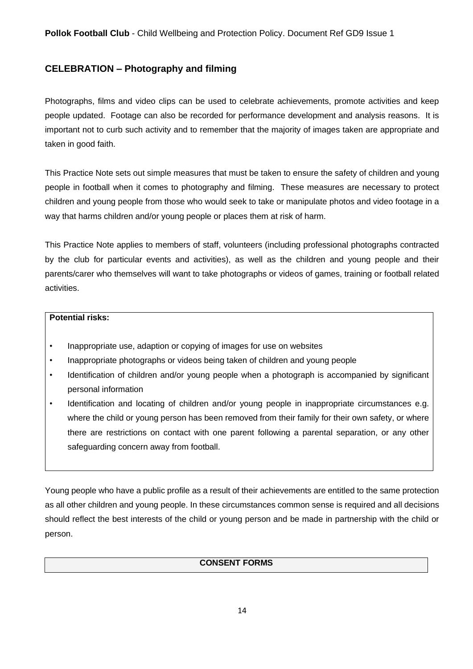# <span id="page-13-0"></span>**CELEBRATION – Photography and filming**

Photographs, films and video clips can be used to celebrate achievements, promote activities and keep people updated. Footage can also be recorded for performance development and analysis reasons. It is important not to curb such activity and to remember that the majority of images taken are appropriate and taken in good faith.

This Practice Note sets out simple measures that must be taken to ensure the safety of children and young people in football when it comes to photography and filming. These measures are necessary to protect children and young people from those who would seek to take or manipulate photos and video footage in a way that harms children and/or young people or places them at risk of harm.

This Practice Note applies to members of staff, volunteers (including professional photographs contracted by the club for particular events and activities), as well as the children and young people and their parents/carer who themselves will want to take photographs or videos of games, training or football related activities.

#### **Potential risks:**

- Inappropriate use, adaption or copying of images for use on websites
- Inappropriate photographs or videos being taken of children and young people
- Identification of children and/or young people when a photograph is accompanied by significant personal information
- Identification and locating of children and/or young people in inappropriate circumstances e.g. where the child or young person has been removed from their family for their own safety, or where there are restrictions on contact with one parent following a parental separation, or any other safeguarding concern away from football.

Young people who have a public profile as a result of their achievements are entitled to the same protection as all other children and young people. In these circumstances common sense is required and all decisions should reflect the best interests of the child or young person and be made in partnership with the child or person.

# **CONSENT FORMS**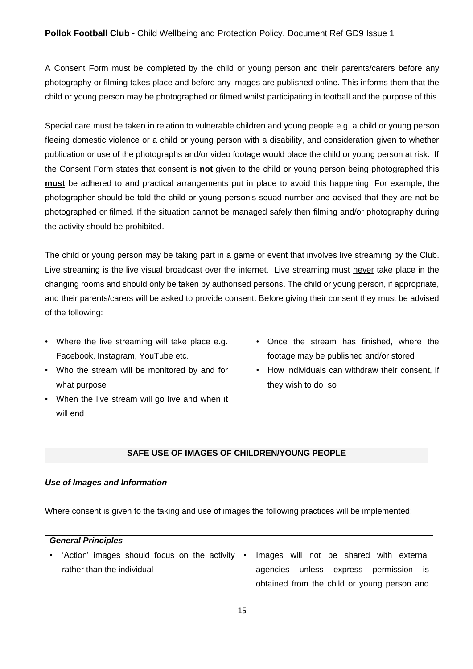# **Pollok Football Club** - Child Wellbeing and Protection Policy. Document Ref GD9 Issue 1

A Consent Form must be completed by the child or young person and their parents/carers before any photography or filming takes place and before any images are published online. This informs them that the child or young person may be photographed or filmed whilst participating in football and the purpose of this.

Special care must be taken in relation to vulnerable children and young people e.g. a child or young person fleeing domestic violence or a child or young person with a disability, and consideration given to whether publication or use of the photographs and/or video footage would place the child or young person at risk. If the Consent Form states that consent is **not** given to the child or young person being photographed this **must** be adhered to and practical arrangements put in place to avoid this happening. For example, the photographer should be told the child or young person's squad number and advised that they are not be photographed or filmed. If the situation cannot be managed safely then filming and/or photography during the activity should be prohibited.

The child or young person may be taking part in a game or event that involves live streaming by the Club. Live streaming is the live visual broadcast over the internet. Live streaming must never take place in the changing rooms and should only be taken by authorised persons. The child or young person, if appropriate, and their parents/carers will be asked to provide consent. Before giving their consent they must be advised of the following:

- Where the live streaming will take place e.g. Facebook, Instagram, YouTube etc.
- Who the stream will be monitored by and for what purpose
- When the live stream will go live and when it will end
- Once the stream has finished, where the footage may be published and/or stored
- How individuals can withdraw their consent, if they wish to do so

#### **SAFE USE OF IMAGES OF CHILDREN/YOUNG PEOPLE**

#### *Use of Images and Information*

Where consent is given to the taking and use of images the following practices will be implemented:

| <b>General Principles</b>                            |                                             |
|------------------------------------------------------|---------------------------------------------|
| 'Action' images should focus on the activity $\cdot$ | Images will not be shared with external     |
| rather than the individual                           | agencies unless express permission is       |
|                                                      | obtained from the child or young person and |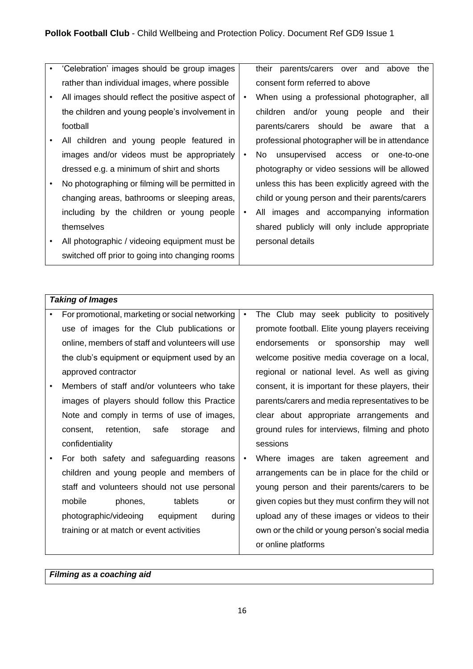- 'Celebration' images should be group images rather than individual images, where possible
- All images should reflect the positive aspect of the children and young people's involvement in football
- All children and young people featured in images and/or videos must be appropriately dressed e.g. a minimum of shirt and shorts
- No photographing or filming will be permitted in changing areas, bathrooms or sleeping areas, including by the children or young people themselves
- All photographic / videoing equipment must be switched off prior to going into changing rooms

their parents/carers over and above the consent form referred to above

- When using a professional photographer, all children and/or young people and their parents/carers should be aware that a professional photographer will be in attendance
- No unsupervised access or one-to-one photography or video sessions will be allowed unless this has been explicitly agreed with the child or young person and their parents/carers
- All images and accompanying information shared publicly will only include appropriate personal details

# *Taking of Images*

| $\bullet$ | For promotional, marketing or social networking  | $\bullet$ | The Club may seek publicity to positively         |
|-----------|--------------------------------------------------|-----------|---------------------------------------------------|
|           | use of images for the Club publications or       |           | promote football. Elite young players receiving   |
|           | online, members of staff and volunteers will use |           | endorsements or sponsorship may well              |
|           | the club's equipment or equipment used by an     |           | welcome positive media coverage on a local,       |
|           | approved contractor                              |           | regional or national level. As well as giving     |
|           | Members of staff and/or volunteers who take      |           | consent, it is important for these players, their |
|           | images of players should follow this Practice    |           | parents/carers and media representatives to be    |
|           | Note and comply in terms of use of images,       |           | clear about appropriate arrangements and          |
|           | retention,<br>safe<br>consent,<br>storage<br>and |           | ground rules for interviews, filming and photo    |
|           | confidentiality                                  |           | sessions                                          |
|           | For both safety and safeguarding reasons         | $\bullet$ | Where images are taken agreement and              |
|           | children and young people and members of         |           | arrangements can be in place for the child or     |
|           | staff and volunteers should not use personal     |           | young person and their parents/carers to be       |
|           | mobile<br>phones,<br>tablets<br><b>or</b>        |           | given copies but they must confirm they will not  |
|           | photographic/videoing<br>equipment<br>during     |           | upload any of these images or videos to their     |
|           | training or at match or event activities         |           | own or the child or young person's social media   |
|           |                                                  |           | or online platforms                               |

*Filming as a coaching aid*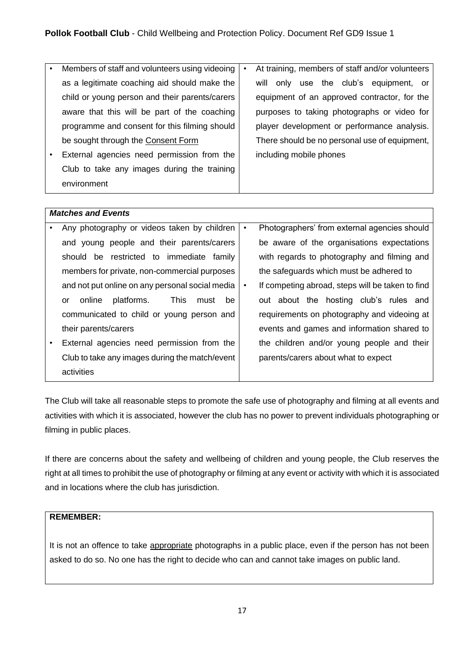| Members of staff and volunteers using videoing | $\bullet$ | At training, members of staff and/or volunteers |
|------------------------------------------------|-----------|-------------------------------------------------|
| as a legitimate coaching aid should make the   |           | only use the club's equipment, or<br>will       |
| child or young person and their parents/carers |           | equipment of an approved contractor, for the    |
| aware that this will be part of the coaching   |           | purposes to taking photographs or video for     |
| programme and consent for this filming should  |           | player development or performance analysis.     |
| be sought through the Consent Form             |           | There should be no personal use of equipment,   |
| External agencies need permission from the     |           | including mobile phones                         |
| Club to take any images during the training    |           |                                                 |
| environment                                    |           |                                                 |
|                                                |           |                                                 |

|   | <b>Matches and Events</b>                               |           |                                                  |
|---|---------------------------------------------------------|-----------|--------------------------------------------------|
| ٠ | Any photography or videos taken by children             | $\bullet$ | Photographers' from external agencies should     |
|   | and young people and their parents/carers               |           | be aware of the organisations expectations       |
|   | should be restricted to immediate<br>family             |           | with regards to photography and filming and      |
|   | members for private, non-commercial purposes            |           | the safeguards which must be adhered to          |
|   | and not put online on any personal social media         | $\bullet$ | If competing abroad, steps will be taken to find |
|   | platforms.<br><b>This</b><br>online<br>be<br>must<br>or |           | out about the hosting club's rules and           |
|   | communicated to child or young person and               |           | requirements on photography and videoing at      |
|   | their parents/carers                                    |           | events and games and information shared to       |
| ٠ | External agencies need permission from the              |           | the children and/or young people and their       |
|   | Club to take any images during the match/event          |           | parents/carers about what to expect              |
|   | activities                                              |           |                                                  |

The Club will take all reasonable steps to promote the safe use of photography and filming at all events and activities with which it is associated, however the club has no power to prevent individuals photographing or filming in public places.

If there are concerns about the safety and wellbeing of children and young people, the Club reserves the right at all times to prohibit the use of photography or filming at any event or activity with which it is associated and in locations where the club has jurisdiction.

# **REMEMBER:**

It is not an offence to take appropriate photographs in a public place, even if the person has not been asked to do so. No one has the right to decide who can and cannot take images on public land.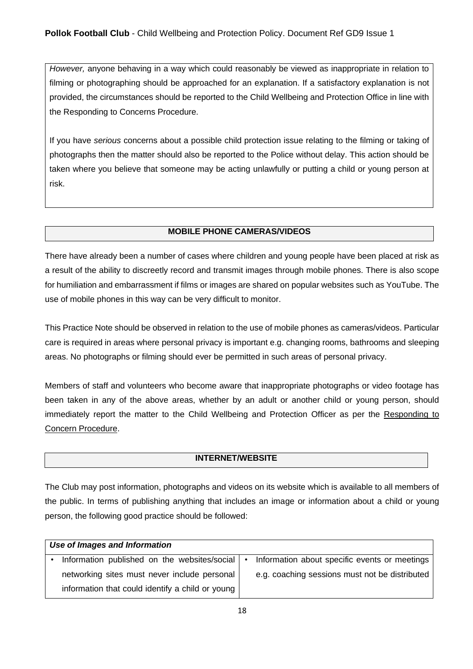*However,* anyone behaving in a way which could reasonably be viewed as inappropriate in relation to filming or photographing should be approached for an explanation. If a satisfactory explanation is not provided, the circumstances should be reported to the Child Wellbeing and Protection Office in line with the Responding to Concerns Procedure.

If you have *serious* concerns about a possible child protection issue relating to the filming or taking of photographs then the matter should also be reported to the Police without delay. This action should be taken where you believe that someone may be acting unlawfully or putting a child or young person at risk.

# **MOBILE PHONE CAMERAS/VIDEOS**

There have already been a number of cases where children and young people have been placed at risk as a result of the ability to discreetly record and transmit images through mobile phones. There is also scope for humiliation and embarrassment if films or images are shared on popular websites such as YouTube. The use of mobile phones in this way can be very difficult to monitor.

This Practice Note should be observed in relation to the use of mobile phones as cameras/videos. Particular care is required in areas where personal privacy is important e.g. changing rooms, bathrooms and sleeping areas. No photographs or filming should ever be permitted in such areas of personal privacy.

Members of staff and volunteers who become aware that inappropriate photographs or video footage has been taken in any of the above areas, whether by an adult or another child or young person, should immediately report the matter to the Child Wellbeing and Protection Officer as per the Responding to Concern Procedure.

# **INTERNET/WEBSITE**

The Club may post information, photographs and videos on its website which is available to all members of the public. In terms of publishing anything that includes an image or information about a child or young person, the following good practice should be followed:

| Use of Images and Information                    |  |                                                |  |  |
|--------------------------------------------------|--|------------------------------------------------|--|--|
| Information published on the websites/social   • |  | Information about specific events or meetings  |  |  |
| networking sites must never include personal     |  | e.g. coaching sessions must not be distributed |  |  |
| information that could identify a child or young |  |                                                |  |  |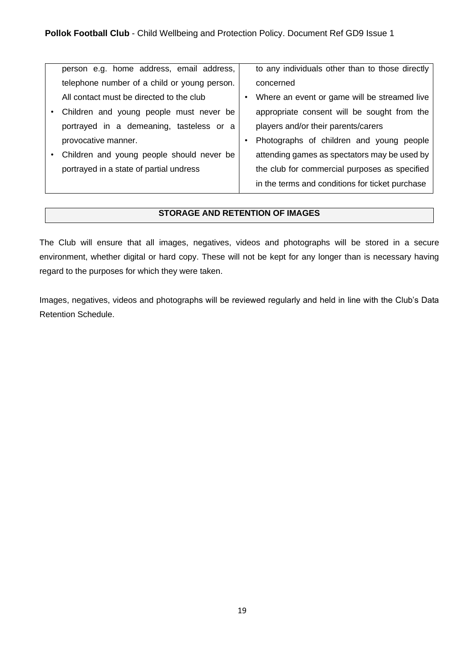| person e.g. home address, email address,     | to any individuals other than to those directly |
|----------------------------------------------|-------------------------------------------------|
| telephone number of a child or young person. | concerned                                       |
| All contact must be directed to the club     | Where an event or game will be streamed live    |
| Children and young people must never be      | appropriate consent will be sought from the     |
| portrayed in a demeaning, tasteless or a     | players and/or their parents/carers             |
| provocative manner.                          | Photographs of children and young people        |
| Children and young people should never be    | attending games as spectators may be used by    |
| portrayed in a state of partial undress      | the club for commercial purposes as specified   |
|                                              | in the terms and conditions for ticket purchase |

## **STORAGE AND RETENTION OF IMAGES**

The Club will ensure that all images, negatives, videos and photographs will be stored in a secure environment, whether digital or hard copy. These will not be kept for any longer than is necessary having regard to the purposes for which they were taken.

Images, negatives, videos and photographs will be reviewed regularly and held in line with the Club's Data Retention Schedule.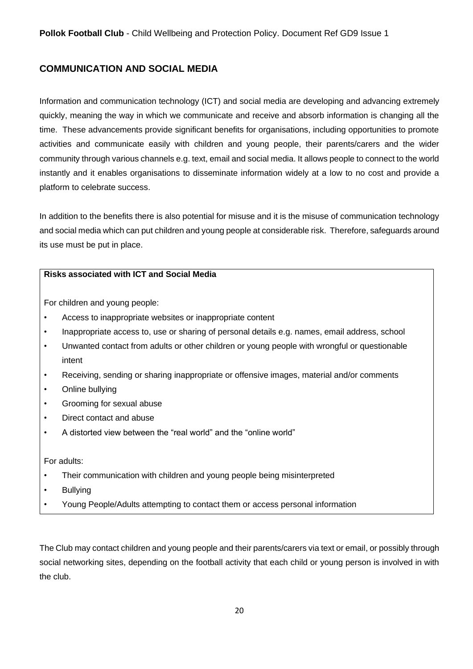# <span id="page-19-0"></span>**COMMUNICATION AND SOCIAL MEDIA**

Information and communication technology (ICT) and social media are developing and advancing extremely quickly, meaning the way in which we communicate and receive and absorb information is changing all the time. These advancements provide significant benefits for organisations, including opportunities to promote activities and communicate easily with children and young people, their parents/carers and the wider community through various channels e.g. text, email and social media. It allows people to connect to the world instantly and it enables organisations to disseminate information widely at a low to no cost and provide a platform to celebrate success.

In addition to the benefits there is also potential for misuse and it is the misuse of communication technology and social media which can put children and young people at considerable risk. Therefore, safeguards around its use must be put in place.

#### **Risks associated with ICT and Social Media**

For children and young people:

- Access to inappropriate websites or inappropriate content
- Inappropriate access to, use or sharing of personal details e.g. names, email address, school
- Unwanted contact from adults or other children or young people with wrongful or questionable intent
- Receiving, sending or sharing inappropriate or offensive images, material and/or comments
- Online bullying
- Grooming for sexual abuse
- Direct contact and abuse
- A distorted view between the "real world" and the "online world"

For adults:

- Their communication with children and young people being misinterpreted
- **Bullving**
- Young People/Adults attempting to contact them or access personal information

The Club may contact children and young people and their parents/carers via text or email, or possibly through social networking sites, depending on the football activity that each child or young person is involved in with the club.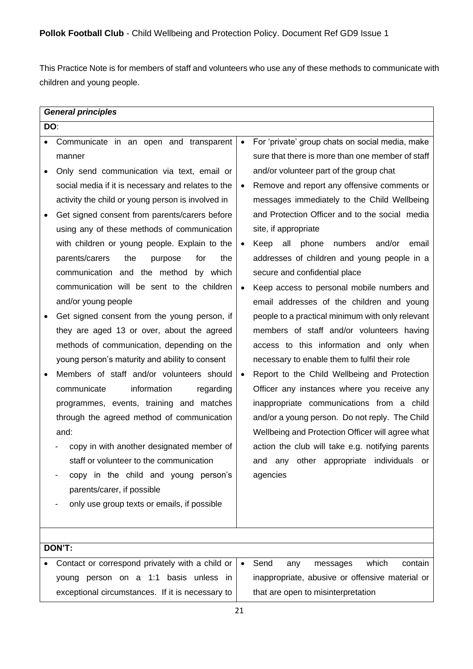This Practice Note is for members of staff and volunteers who use any of these methods to communicate with children and young people.

|           | <b>General principles</b>                          |           |                                                    |  |
|-----------|----------------------------------------------------|-----------|----------------------------------------------------|--|
| DO:       |                                                    |           |                                                    |  |
|           | Communicate in an open and transparent             | $\bullet$ | For 'private' group chats on social media, make    |  |
|           | manner                                             |           | sure that there is more than one member of staff   |  |
|           | Only send communication via text, email or         |           | and/or volunteer part of the group chat            |  |
|           | social media if it is necessary and relates to the | $\bullet$ | Remove and report any offensive comments or        |  |
|           | activity the child or young person is involved in  |           | messages immediately to the Child Wellbeing        |  |
|           | Get signed consent from parents/carers before      |           | and Protection Officer and to the social media     |  |
|           | using any of these methods of communication        |           | site, if appropriate                               |  |
|           | with children or young people. Explain to the      | $\bullet$ | phone<br>Keep<br>all<br>numbers<br>and/or<br>email |  |
|           | parents/carers<br>the<br>purpose<br>for<br>the     |           | addresses of children and young people in a        |  |
|           | communication and the method by which              |           | secure and confidential place                      |  |
|           | communication will be sent to the children         | $\bullet$ | Keep access to personal mobile numbers and         |  |
|           | and/or young people                                |           | email addresses of the children and young          |  |
| $\bullet$ | Get signed consent from the young person, if       |           | people to a practical minimum with only relevant   |  |
|           | they are aged 13 or over, about the agreed         |           | members of staff and/or volunteers having          |  |
|           | methods of communication, depending on the         |           | access to this information and only when           |  |
|           | young person's maturity and ability to consent     |           | necessary to enable them to fulfil their role      |  |
|           | Members of staff and/or volunteers should          | $\bullet$ | Report to the Child Wellbeing and Protection       |  |
|           | information<br>communicate<br>regarding            |           | Officer any instances where you receive any        |  |
|           | programmes, events, training and matches           |           | inappropriate communications from a child          |  |
|           | through the agreed method of communication         |           | and/or a young person. Do not reply. The Child     |  |
|           | and:                                               |           | Wellbeing and Protection Officer will agree what   |  |
|           | copy in with another designated member of          |           | action the club will take e.g. notifying parents   |  |
|           | staff or volunteer to the communication            |           | and any other appropriate individuals or           |  |
|           | copy in the child and young person's               |           | agencies                                           |  |
|           | parents/carer, if possible                         |           |                                                    |  |
|           | only use group texts or emails, if possible        |           |                                                    |  |
|           |                                                    |           |                                                    |  |
|           |                                                    |           |                                                    |  |
|           | DON'T:                                             |           |                                                    |  |
|           | Contact or correspond privately with a child or    | $\bullet$ | Send<br>which<br>contain<br>any<br>messages        |  |
|           | person on a 1:1 basis unless in<br>young           |           | inappropriate, abusive or offensive material or    |  |
|           | exceptional circumstances. If it is necessary to   |           | that are open to misinterpretation                 |  |
|           |                                                    | 21        |                                                    |  |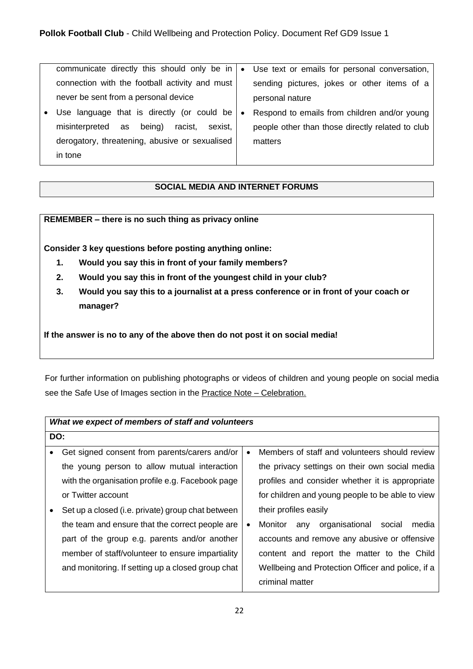| communicate directly this should only be in       | $\bullet$ | Use text or emails for personal conversation,    |
|---------------------------------------------------|-----------|--------------------------------------------------|
| connection with the football activity and must    |           | sending pictures, jokes or other items of a      |
| never be sent from a personal device              |           | personal nature                                  |
| • Use language that is directly (or could be      | $\bullet$ | Respond to emails from children and/or young     |
| sexist.<br>racist,<br>misinterpreted as<br>being) |           | people other than those directly related to club |
| derogatory, threatening, abusive or sexualised    |           | matters                                          |
| in tone                                           |           |                                                  |
|                                                   |           |                                                  |

# **SOCIAL MEDIA AND INTERNET FORUMS**

**REMEMBER – there is no such thing as privacy online** 

**Consider 3 key questions before posting anything online:** 

- **1. Would you say this in front of your family members?**
- **2. Would you say this in front of the youngest child in your club?**
- **3. Would you say this to a journalist at a press conference or in front of your coach or manager?**

**If the answer is no to any of the above then do not post it on social media!**

For further information on publishing photographs or videos of children and young people on social media see the Safe Use of Images section in the Practice Note - Celebration.

| What we expect of members of staff and volunteers |           |                                                     |  |
|---------------------------------------------------|-----------|-----------------------------------------------------|--|
| DO:                                               |           |                                                     |  |
| Get signed consent from parents/carers and/or     | $\bullet$ | Members of staff and volunteers should review       |  |
| the young person to allow mutual interaction      |           | the privacy settings on their own social media      |  |
| with the organisation profile e.g. Facebook page  |           | profiles and consider whether it is appropriate     |  |
| or Twitter account                                |           | for children and young people to be able to view    |  |
| Set up a closed (i.e. private) group chat between |           | their profiles easily                               |  |
| the team and ensure that the correct people are   | $\bullet$ | organisational<br>Monitor<br>media<br>social<br>any |  |
| part of the group e.g. parents and/or another     |           | accounts and remove any abusive or offensive        |  |
| member of staff/volunteer to ensure impartiality  |           | content and report the matter to the Child          |  |
| and monitoring. If setting up a closed group chat |           | Wellbeing and Protection Officer and police, if a   |  |
|                                                   |           | criminal matter                                     |  |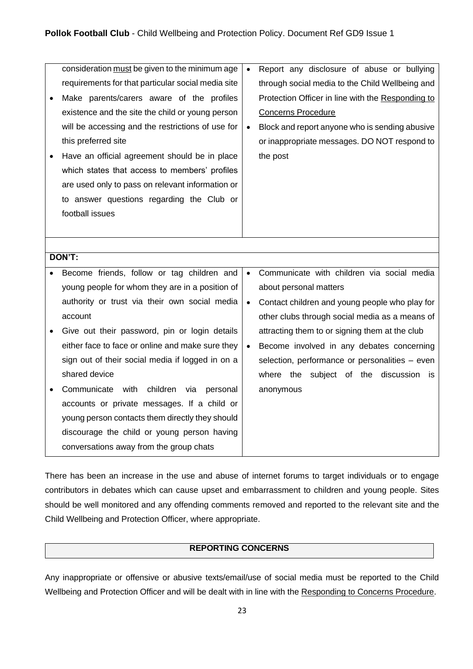|        | consideration must be given to the minimum age<br>requirements for that particular social media site<br>Make parents/carers aware of the profiles<br>existence and the site the child or young person<br>will be accessing and the restrictions of use for<br>this preferred site<br>Have an official agreement should be in place<br>which states that access to members' profiles<br>are used only to pass on relevant information or<br>to answer questions regarding the Club or<br>football issues | $\bullet$<br>$\bullet$ | Report any disclosure of abuse or bullying<br>through social media to the Child Wellbeing and<br>Protection Officer in line with the Responding to<br><b>Concerns Procedure</b><br>Block and report anyone who is sending abusive<br>or inappropriate messages. DO NOT respond to<br>the post |
|--------|---------------------------------------------------------------------------------------------------------------------------------------------------------------------------------------------------------------------------------------------------------------------------------------------------------------------------------------------------------------------------------------------------------------------------------------------------------------------------------------------------------|------------------------|-----------------------------------------------------------------------------------------------------------------------------------------------------------------------------------------------------------------------------------------------------------------------------------------------|
| DON'T: |                                                                                                                                                                                                                                                                                                                                                                                                                                                                                                         |                        |                                                                                                                                                                                                                                                                                               |
|        |                                                                                                                                                                                                                                                                                                                                                                                                                                                                                                         |                        |                                                                                                                                                                                                                                                                                               |
|        | Become friends, follow or tag children and                                                                                                                                                                                                                                                                                                                                                                                                                                                              | $\bullet$              | Communicate with children via social media                                                                                                                                                                                                                                                    |
|        | young people for whom they are in a position of                                                                                                                                                                                                                                                                                                                                                                                                                                                         |                        | about personal matters                                                                                                                                                                                                                                                                        |
|        | authority or trust via their own social media                                                                                                                                                                                                                                                                                                                                                                                                                                                           | $\bullet$              | Contact children and young people who play for                                                                                                                                                                                                                                                |
|        | account                                                                                                                                                                                                                                                                                                                                                                                                                                                                                                 |                        | other clubs through social media as a means of                                                                                                                                                                                                                                                |
|        | Give out their password, pin or login details                                                                                                                                                                                                                                                                                                                                                                                                                                                           |                        | attracting them to or signing them at the club                                                                                                                                                                                                                                                |
|        | either face to face or online and make sure they                                                                                                                                                                                                                                                                                                                                                                                                                                                        | $\bullet$              | Become involved in any debates concerning                                                                                                                                                                                                                                                     |
|        | sign out of their social media if logged in on a                                                                                                                                                                                                                                                                                                                                                                                                                                                        |                        | selection, performance or personalities - even                                                                                                                                                                                                                                                |
|        | shared device                                                                                                                                                                                                                                                                                                                                                                                                                                                                                           |                        | where the subject of the discussion is                                                                                                                                                                                                                                                        |
|        | children via<br>Communicate with<br>personal                                                                                                                                                                                                                                                                                                                                                                                                                                                            |                        | anonymous                                                                                                                                                                                                                                                                                     |
|        | accounts or private messages. If a child or                                                                                                                                                                                                                                                                                                                                                                                                                                                             |                        |                                                                                                                                                                                                                                                                                               |
|        | young person contacts them directly they should                                                                                                                                                                                                                                                                                                                                                                                                                                                         |                        |                                                                                                                                                                                                                                                                                               |
|        | discourage the child or young person having                                                                                                                                                                                                                                                                                                                                                                                                                                                             |                        |                                                                                                                                                                                                                                                                                               |
|        | conversations away from the group chats                                                                                                                                                                                                                                                                                                                                                                                                                                                                 |                        |                                                                                                                                                                                                                                                                                               |

There has been an increase in the use and abuse of internet forums to target individuals or to engage contributors in debates which can cause upset and embarrassment to children and young people. Sites should be well monitored and any offending comments removed and reported to the relevant site and the Child Wellbeing and Protection Officer, where appropriate.

# **REPORTING CONCERNS**

Any inappropriate or offensive or abusive texts/email/use of social media must be reported to the Child Wellbeing and Protection Officer and will be dealt with in line with the Responding to Concerns Procedure.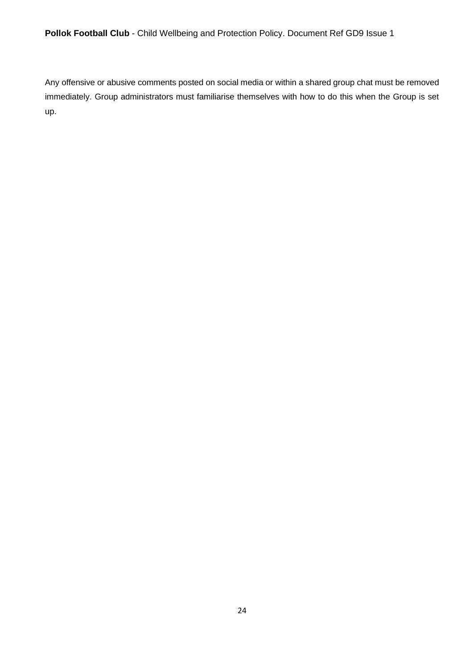**Pollok Football Club** - Child Wellbeing and Protection Policy. Document Ref GD9 Issue 1

Any offensive or abusive comments posted on social media or within a shared group chat must be removed immediately. Group administrators must familiarise themselves with how to do this when the Group is set up.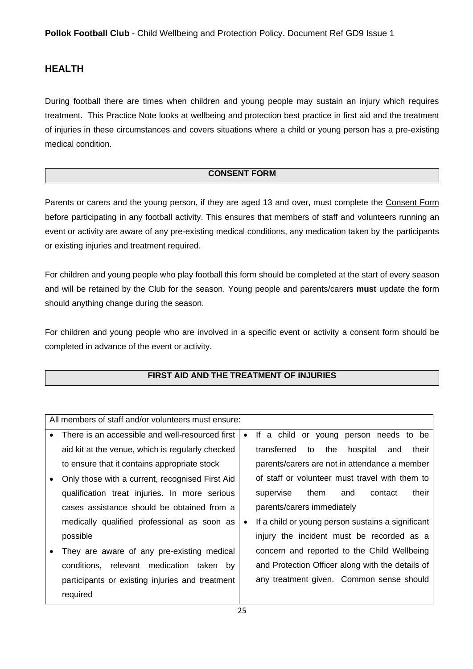# <span id="page-24-0"></span>**HEALTH**

During football there are times when children and young people may sustain an injury which requires treatment. This Practice Note looks at wellbeing and protection best practice in first aid and the treatment of injuries in these circumstances and covers situations where a child or young person has a pre-existing medical condition.

# **CONSENT FORM**

Parents or carers and the young person, if they are aged 13 and over, must complete the Consent Form before participating in any football activity. This ensures that members of staff and volunteers running an event or activity are aware of any pre-existing medical conditions, any medication taken by the participants or existing injuries and treatment required.

For children and young people who play football this form should be completed at the start of every season and will be retained by the Club for the season. Young people and parents/carers **must** update the form should anything change during the season.

For children and young people who are involved in a specific event or activity a consent form should be completed in advance of the event or activity.

# **FIRST AID AND THE TREATMENT OF INJURIES**

| All members of staff and/or volunteers must ensure: |           |                                                      |  |
|-----------------------------------------------------|-----------|------------------------------------------------------|--|
| There is an accessible and well-resourced first     | $\bullet$ | If a child or young person needs to be               |  |
| aid kit at the venue, which is regularly checked    |           | transferred<br>the<br>to<br>hospital<br>their<br>and |  |
| to ensure that it contains appropriate stock        |           | parents/carers are not in attendance a member        |  |
| Only those with a current, recognised First Aid     |           | of staff or volunteer must travel with them to       |  |
| qualification treat injuries. In more serious       |           | their<br>them<br>contact<br>supervise<br>and         |  |
| cases assistance should be obtained from a          |           | parents/carers immediately                           |  |
| medically qualified professional as soon as         | $\bullet$ | If a child or young person sustains a significant    |  |
| possible                                            |           | injury the incident must be recorded as a            |  |
| They are aware of any pre-existing medical          |           | concern and reported to the Child Wellbeing          |  |
| relevant medication taken<br>conditions,<br>bv      |           | and Protection Officer along with the details of     |  |
| participants or existing injuries and treatment     |           | any treatment given. Common sense should             |  |
| required                                            |           |                                                      |  |
|                                                     |           |                                                      |  |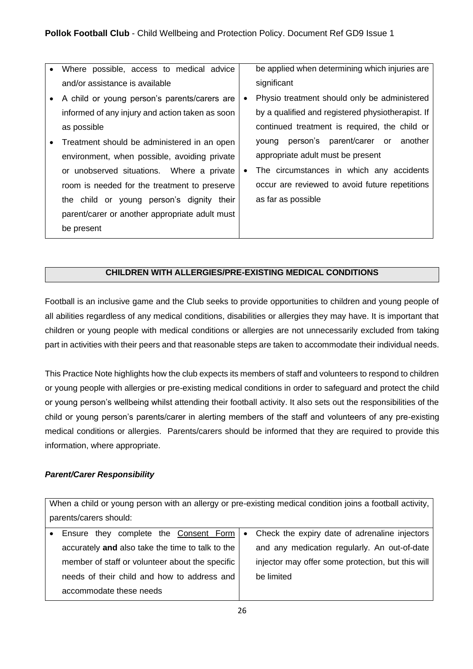- Where possible, access to medical advice and/or assistance is available
- A child or young person's parents/carers are informed of any injury and action taken as soon as possible
- Treatment should be administered in an open environment, when possible, avoiding private or unobserved situations. Where a private room is needed for the treatment to preserve the child or young person's dignity their parent/carer or another appropriate adult must be present

be applied when determining which injuries are significant

- Physio treatment should only be administered by a qualified and registered physiotherapist. If continued treatment is required, the child or young person's parent/carer or another appropriate adult must be present
- The circumstances in which any accidents occur are reviewed to avoid future repetitions as far as possible

# **CHILDREN WITH ALLERGIES/PRE-EXISTING MEDICAL CONDITIONS**

Football is an inclusive game and the Club seeks to provide opportunities to children and young people of all abilities regardless of any medical conditions, disabilities or allergies they may have. It is important that children or young people with medical conditions or allergies are not unnecessarily excluded from taking part in activities with their peers and that reasonable steps are taken to accommodate their individual needs.

This Practice Note highlights how the club expects its members of staff and volunteers to respond to children or young people with allergies or pre-existing medical conditions in order to safeguard and protect the child or young person's wellbeing whilst attending their football activity. It also sets out the responsibilities of the child or young person's parents/carer in alerting members of the staff and volunteers of any pre-existing medical conditions or allergies. Parents/carers should be informed that they are required to provide this information, where appropriate.

#### *Parent/Carer Responsibility*

When a child or young person with an allergy or pre-existing medical condition joins a football activity, parents/carers should:

| • Ensure they complete the Consent Form   • Check the expiry date of adrenaline injectors |                                                   |
|-------------------------------------------------------------------------------------------|---------------------------------------------------|
| accurately and also take the time to talk to the                                          | and any medication regularly. An out-of-date      |
| member of staff or volunteer about the specific                                           | injector may offer some protection, but this will |
| needs of their child and how to address and                                               | be limited                                        |
| accommodate these needs                                                                   |                                                   |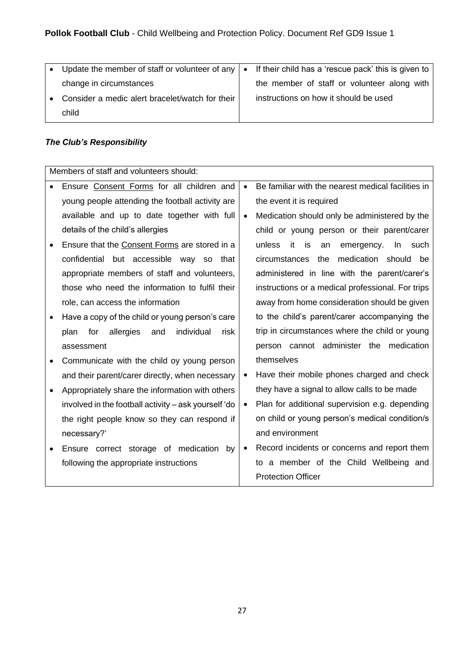| • Update the member of staff or volunteer of any   • If their child has a 'rescue pack' this is given to |                                             |
|----------------------------------------------------------------------------------------------------------|---------------------------------------------|
| change in circumstances                                                                                  | the member of staff or volunteer along with |
| • Consider a medic alert bracelet/watch for their                                                        | instructions on how it should be used       |
| child                                                                                                    |                                             |

# *The Club's Responsibility*

| Members of staff and volunteers should:               |           |                                                    |  |
|-------------------------------------------------------|-----------|----------------------------------------------------|--|
| Ensure Consent Forms for all children and             | $\bullet$ | Be familiar with the nearest medical facilities in |  |
| young people attending the football activity are      |           | the event it is required                           |  |
| available and up to date together with full           | $\bullet$ | Medication should only be administered by the      |  |
| details of the child's allergies                      |           | child or young person or their parent/carer        |  |
| Ensure that the Consent Forms are stored in a         |           | unless<br>it<br>is<br>emergency.<br>In such<br>an  |  |
| confidential but accessible way so that               |           | the<br>medication should<br>circumstances<br>be    |  |
| appropriate members of staff and volunteers,          |           | administered in line with the parent/carer's       |  |
| those who need the information to fulfil their        |           | instructions or a medical professional. For trips  |  |
| role, can access the information                      |           | away from home consideration should be given       |  |
| Have a copy of the child or young person's care       |           | to the child's parent/carer accompanying the       |  |
| individual<br>allergies<br>plan<br>for<br>and<br>risk |           | trip in circumstances where the child or young     |  |
| assessment                                            |           | person cannot administer the medication            |  |
| Communicate with the child oy young person            |           | themselves                                         |  |
| and their parent/carer directly, when necessary       | $\bullet$ | Have their mobile phones charged and check         |  |
| Appropriately share the information with others       |           | they have a signal to allow calls to be made       |  |
| involved in the football activity - ask yourself 'do  | $\bullet$ | Plan for additional supervision e.g. depending     |  |
| the right people know so they can respond if          |           | on child or young person's medical condition/s     |  |
| necessary?'                                           |           | and environment                                    |  |
| Ensure correct storage of medication<br>by            | $\bullet$ | Record incidents or concerns and report them       |  |
| following the appropriate instructions                |           | to a member of the Child Wellbeing and             |  |
|                                                       |           | <b>Protection Officer</b>                          |  |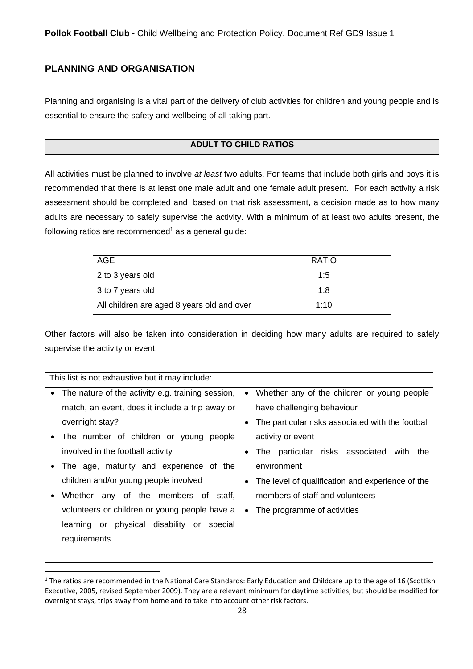# <span id="page-27-0"></span>**PLANNING AND ORGANISATION**

Planning and organising is a vital part of the delivery of club activities for children and young people and is essential to ensure the safety and wellbeing of all taking part.

# **ADULT TO CHILD RATIOS**

All activities must be planned to involve *at least* two adults. For teams that include both girls and boys it is recommended that there is at least one male adult and one female adult present. For each activity a risk assessment should be completed and, based on that risk assessment, a decision made as to how many adults are necessary to safely supervise the activity. With a minimum of at least two adults present, the following ratios are recommended<sup>1</sup> as a general quide:

| AGE                                        | <b>RATIO</b> |
|--------------------------------------------|--------------|
| 2 to 3 years old                           | 1:5          |
| 3 to 7 years old                           | 1.8          |
| All children are aged 8 years old and over | 1:10         |

Other factors will also be taken into consideration in deciding how many adults are required to safely supervise the activity or event.

| This list is not exhaustive but it may include:                |                                                   |  |  |
|----------------------------------------------------------------|---------------------------------------------------|--|--|
| The nature of the activity e.g. training session,<br>$\bullet$ | Whether any of the children or young people       |  |  |
| match, an event, does it include a trip away or                | have challenging behaviour                        |  |  |
| overnight stay?                                                | The particular risks associated with the football |  |  |
| The number of children or young<br>people                      | activity or event                                 |  |  |
| involved in the football activity                              | The particular risks associated<br>with<br>the    |  |  |
| The age, maturity and experience of the<br>$\bullet$           | environment                                       |  |  |
| children and/or young people involved                          | The level of qualification and experience of the  |  |  |
| Whether any of the members of staff,<br>$\bullet$              | members of staff and volunteers                   |  |  |
| volunteers or children or young people have a                  | The programme of activities<br>$\bullet$          |  |  |
| physical disability or<br>learning or<br>special               |                                                   |  |  |
| requirements                                                   |                                                   |  |  |
|                                                                |                                                   |  |  |

 $1$  The ratios are recommended in the National Care Standards: Early Education and Childcare up to the age of 16 (Scottish Executive, 2005, revised September 2009). They are a relevant minimum for daytime activities, but should be modified for overnight stays, trips away from home and to take into account other risk factors.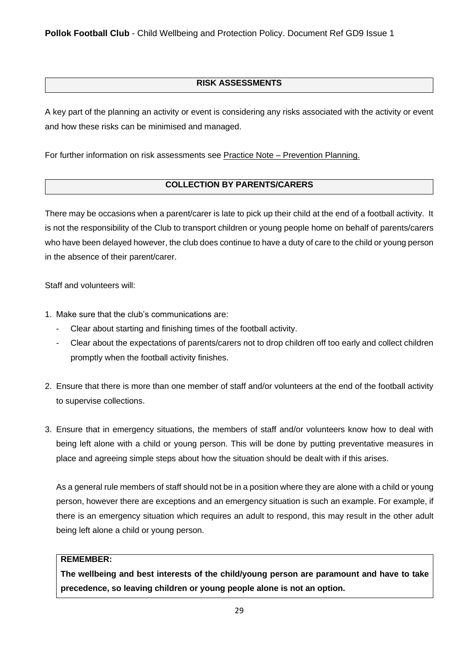**Pollok Football Club** - Child Wellbeing and Protection Policy. Document Ref GD9 Issue 1

# **RISK ASSESSMENTS**

A key part of the planning an activity or event is considering any risks associated with the activity or event and how these risks can be minimised and managed.

For further information on risk assessments see Practice Note – Prevention Planning.

# **COLLECTION BY PARENTS/CARERS**

There may be occasions when a parent/carer is late to pick up their child at the end of a football activity. It is not the responsibility of the Club to transport children or young people home on behalf of parents/carers who have been delayed however, the club does continue to have a duty of care to the child or young person in the absence of their parent/carer.

Staff and volunteers will:

- 1. Make sure that the club's communications are:
	- Clear about starting and finishing times of the football activity.
	- Clear about the expectations of parents/carers not to drop children off too early and collect children promptly when the football activity finishes.
- 2. Ensure that there is more than one member of staff and/or volunteers at the end of the football activity to supervise collections.
- 3. Ensure that in emergency situations, the members of staff and/or volunteers know how to deal with being left alone with a child or young person. This will be done by putting preventative measures in place and agreeing simple steps about how the situation should be dealt with if this arises.

As a general rule members of staff should not be in a position where they are alone with a child or young person, however there are exceptions and an emergency situation is such an example. For example, if there is an emergency situation which requires an adult to respond, this may result in the other adult being left alone a child or young person.

# **REMEMBER:**

**The wellbeing and best interests of the child/young person are paramount and have to take precedence, so leaving children or young people alone is not an option.**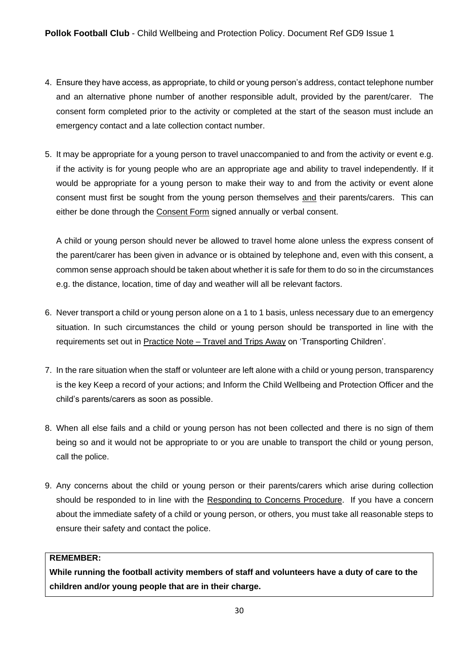- 4. Ensure they have access, as appropriate, to child or young person's address, contact telephone number and an alternative phone number of another responsible adult, provided by the parent/carer. The consent form completed prior to the activity or completed at the start of the season must include an emergency contact and a late collection contact number.
- 5. It may be appropriate for a young person to travel unaccompanied to and from the activity or event e.g. if the activity is for young people who are an appropriate age and ability to travel independently. If it would be appropriate for a young person to make their way to and from the activity or event alone consent must first be sought from the young person themselves and their parents/carers. This can either be done through the Consent Form signed annually or verbal consent.

A child or young person should never be allowed to travel home alone unless the express consent of the parent/carer has been given in advance or is obtained by telephone and, even with this consent, a common sense approach should be taken about whether it is safe for them to do so in the circumstances e.g. the distance, location, time of day and weather will all be relevant factors.

- 6. Never transport a child or young person alone on a 1 to 1 basis, unless necessary due to an emergency situation. In such circumstances the child or young person should be transported in line with the requirements set out in Practice Note – Travel and Trips Away on 'Transporting Children'.
- 7. In the rare situation when the staff or volunteer are left alone with a child or young person, transparency is the key Keep a record of your actions; and Inform the Child Wellbeing and Protection Officer and the child's parents/carers as soon as possible.
- 8. When all else fails and a child or young person has not been collected and there is no sign of them being so and it would not be appropriate to or you are unable to transport the child or young person, call the police.
- 9. Any concerns about the child or young person or their parents/carers which arise during collection should be responded to in line with the Responding to Concerns Procedure. If you have a concern about the immediate safety of a child or young person, or others, you must take all reasonable steps to ensure their safety and contact the police.

#### **REMEMBER:**

**While running the football activity members of staff and volunteers have a duty of care to the children and/or young people that are in their charge.**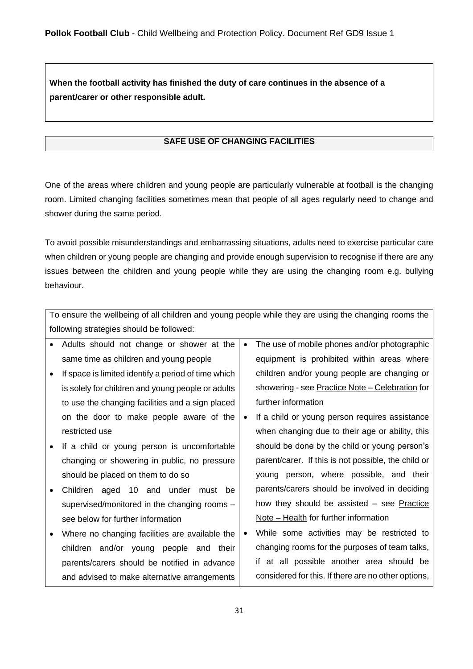**When the football activity has finished the duty of care continues in the absence of a parent/carer or other responsible adult.** 

# **SAFE USE OF CHANGING FACILITIES**

One of the areas where children and young people are particularly vulnerable at football is the changing room. Limited changing facilities sometimes mean that people of all ages regularly need to change and shower during the same period.

To avoid possible misunderstandings and embarrassing situations, adults need to exercise particular care when children or young people are changing and provide enough supervision to recognise if there are any issues between the children and young people while they are using the changing room e.g. bullying behaviour.

|                                          | To ensure the wellbeing of all children and young people while they are using the changing rooms the |           |                                                     |  |
|------------------------------------------|------------------------------------------------------------------------------------------------------|-----------|-----------------------------------------------------|--|
| following strategies should be followed: |                                                                                                      |           |                                                     |  |
|                                          | Adults should not change or shower at the                                                            | $\bullet$ | The use of mobile phones and/or photographic        |  |
|                                          | same time as children and young people                                                               |           | equipment is prohibited within areas where          |  |
|                                          | If space is limited identify a period of time which                                                  |           | children and/or young people are changing or        |  |
|                                          | is solely for children and young people or adults                                                    |           | showering - see Practice Note - Celebration for     |  |
|                                          | to use the changing facilities and a sign placed                                                     |           | further information                                 |  |
|                                          | on the door to make people aware of the                                                              | $\bullet$ | If a child or young person requires assistance      |  |
|                                          | restricted use                                                                                       |           | when changing due to their age or ability, this     |  |
|                                          | If a child or young person is uncomfortable                                                          |           | should be done by the child or young person's       |  |
|                                          | changing or showering in public, no pressure                                                         |           | parent/carer. If this is not possible, the child or |  |
|                                          | should be placed on them to do so                                                                    |           | young person, where possible, and their             |  |
|                                          | Children aged 10 and under must<br>be                                                                |           | parents/carers should be involved in deciding       |  |
|                                          | supervised/monitored in the changing rooms -                                                         |           | how they should be assisted – see Practice          |  |
|                                          | see below for further information                                                                    |           | Note – Health for further information               |  |
|                                          | Where no changing facilities are available the                                                       | $\bullet$ | While some activities may be restricted to          |  |
|                                          | children and/or young people and their                                                               |           | changing rooms for the purposes of team talks,      |  |
|                                          | parents/carers should be notified in advance                                                         |           | if at all possible another area should be           |  |
|                                          | and advised to make alternative arrangements                                                         |           | considered for this. If there are no other options, |  |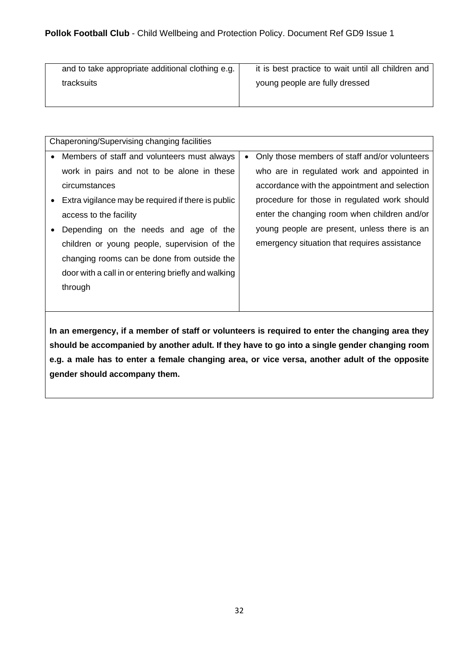| and to take appropriate additional clothing e.g. | it is best practice to wait until all children and |
|--------------------------------------------------|----------------------------------------------------|
| tracksuits                                       | young people are fully dressed                     |
|                                                  |                                                    |

| Chaperoning/Supervising changing facilities   |  |  |  |  |
|-----------------------------------------------|--|--|--|--|
| Only those members of staff and/or volunteers |  |  |  |  |
| who are in regulated work and appointed in    |  |  |  |  |
| accordance with the appointment and selection |  |  |  |  |
| procedure for those in regulated work should  |  |  |  |  |
| enter the changing room when children and/or  |  |  |  |  |
| young people are present, unless there is an  |  |  |  |  |
| emergency situation that requires assistance  |  |  |  |  |
|                                               |  |  |  |  |
|                                               |  |  |  |  |
|                                               |  |  |  |  |
|                                               |  |  |  |  |
|                                               |  |  |  |  |

**In an emergency, if a member of staff or volunteers is required to enter the changing area they should be accompanied by another adult. If they have to go into a single gender changing room e.g. a male has to enter a female changing area, or vice versa, another adult of the opposite gender should accompany them.**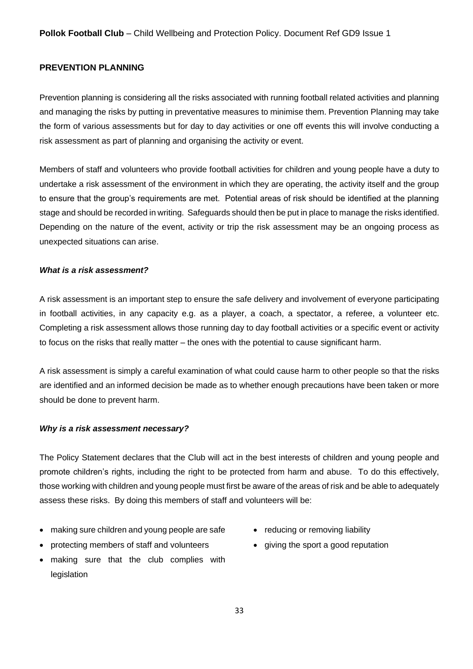# <span id="page-32-0"></span>**PREVENTION PLANNING**

Prevention planning is considering all the risks associated with running football related activities and planning and managing the risks by putting in preventative measures to minimise them. Prevention Planning may take the form of various assessments but for day to day activities or one off events this will involve conducting a risk assessment as part of planning and organising the activity or event.

Members of staff and volunteers who provide football activities for children and young people have a duty to undertake a risk assessment of the environment in which they are operating, the activity itself and the group to ensure that the group's requirements are met. Potential areas of risk should be identified at the planning stage and should be recorded in writing. Safeguards should then be put in place to manage the risks identified. Depending on the nature of the event, activity or trip the risk assessment may be an ongoing process as unexpected situations can arise.

#### *What is a risk assessment?*

A risk assessment is an important step to ensure the safe delivery and involvement of everyone participating in football activities, in any capacity e.g. as a player, a coach, a spectator, a referee, a volunteer etc. Completing a risk assessment allows those running day to day football activities or a specific event or activity to focus on the risks that really matter – the ones with the potential to cause significant harm.

A risk assessment is simply a careful examination of what could cause harm to other people so that the risks are identified and an informed decision be made as to whether enough precautions have been taken or more should be done to prevent harm.

#### *Why is a risk assessment necessary?*

The Policy Statement declares that the Club will act in the best interests of children and young people and promote children's rights, including the right to be protected from harm and abuse. To do this effectively, those working with children and young people must first be aware of the areas of risk and be able to adequately assess these risks. By doing this members of staff and volunteers will be:

- making sure children and young people are safe
- protecting members of staff and volunteers
- making sure that the club complies with legislation
- reducing or removing liability
- giving the sport a good reputation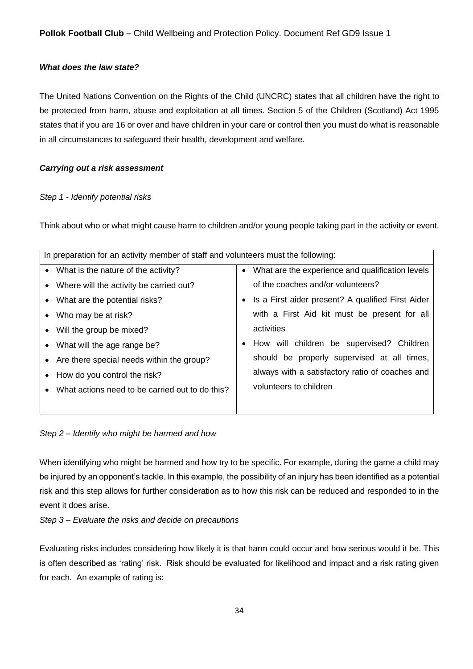# *What does the law state?*

The United Nations Convention on the Rights of the Child (UNCRC) states that all children have the right to be protected from harm, abuse and exploitation at all times. Section 5 of the Children (Scotland) Act 1995 states that if you are 16 or over and have children in your care or control then you must do what is reasonable in all circumstances to safeguard their health, development and welfare.

#### *Carrying out a risk assessment*

#### *Step 1 - Identify potential risks*

Think about who or what might cause harm to children and/or young people taking part in the activity or event.

|                                | In preparation for an activity member of staff and volunteers must the following: |  |                                                     |  |
|--------------------------------|-----------------------------------------------------------------------------------|--|-----------------------------------------------------|--|
|                                | • What is the nature of the activity?                                             |  | • What are the experience and qualification levels  |  |
|                                | • Where will the activity be carried out?                                         |  | of the coaches and/or volunteers?                   |  |
|                                | • What are the potential risks?                                                   |  | • Is a First aider present? A qualified First Aider |  |
|                                | • Who may be at risk?                                                             |  | with a First Aid kit must be present for all        |  |
|                                | • Will the group be mixed?                                                        |  | activities                                          |  |
|                                | • What will the age range be?                                                     |  | How will children be supervised? Children           |  |
|                                | • Are there special needs within the group?                                       |  | should be properly supervised at all times,         |  |
| • How do you control the risk? |                                                                                   |  | always with a satisfactory ratio of coaches and     |  |
| $\bullet$                      | What actions need to be carried out to do this?                                   |  | volunteers to children                              |  |
|                                |                                                                                   |  |                                                     |  |
|                                |                                                                                   |  |                                                     |  |

*Step 2 – Identify who might be harmed and how* 

When identifying who might be harmed and how try to be specific. For example, during the game a child may be injured by an opponent's tackle. In this example, the possibility of an injury has been identified as a potential risk and this step allows for further consideration as to how this risk can be reduced and responded to in the event it does arise.

*Step 3 – Evaluate the risks and decide on precautions* 

Evaluating risks includes considering how likely it is that harm could occur and how serious would it be. This is often described as 'rating' risk. Risk should be evaluated for likelihood and impact and a risk rating given for each. An example of rating is: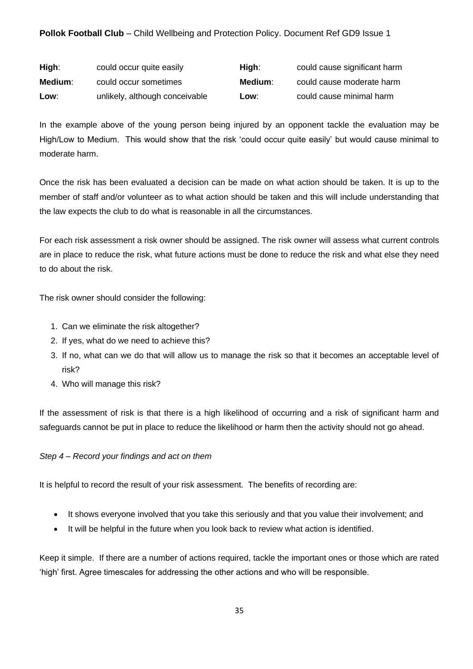# **Pollok Football Club** – Child Wellbeing and Protection Policy. Document Ref GD9 Issue 1

| High:   | could occur quite easily       | High:   | could cause significant harm |
|---------|--------------------------------|---------|------------------------------|
| Medium: | could occur sometimes          | Medium: | could cause moderate harm    |
| Low:    | unlikely, although conceivable | Low:    | could cause minimal harm     |

In the example above of the young person being injured by an opponent tackle the evaluation may be High/Low to Medium. This would show that the risk 'could occur quite easily' but would cause minimal to moderate harm.

Once the risk has been evaluated a decision can be made on what action should be taken. It is up to the member of staff and/or volunteer as to what action should be taken and this will include understanding that the law expects the club to do what is reasonable in all the circumstances.

For each risk assessment a risk owner should be assigned. The risk owner will assess what current controls are in place to reduce the risk, what future actions must be done to reduce the risk and what else they need to do about the risk.

The risk owner should consider the following:

- 1. Can we eliminate the risk altogether?
- 2. If yes, what do we need to achieve this?
- 3. If no, what can we do that will allow us to manage the risk so that it becomes an acceptable level of risk?
- 4. Who will manage this risk?

If the assessment of risk is that there is a high likelihood of occurring and a risk of significant harm and safeguards cannot be put in place to reduce the likelihood or harm then the activity should not go ahead.

# *Step 4 – Record your findings and act on them*

It is helpful to record the result of your risk assessment. The benefits of recording are:

- It shows everyone involved that you take this seriously and that you value their involvement; and
- It will be helpful in the future when you look back to review what action is identified.

Keep it simple. If there are a number of actions required, tackle the important ones or those which are rated 'high' first. Agree timescales for addressing the other actions and who will be responsible.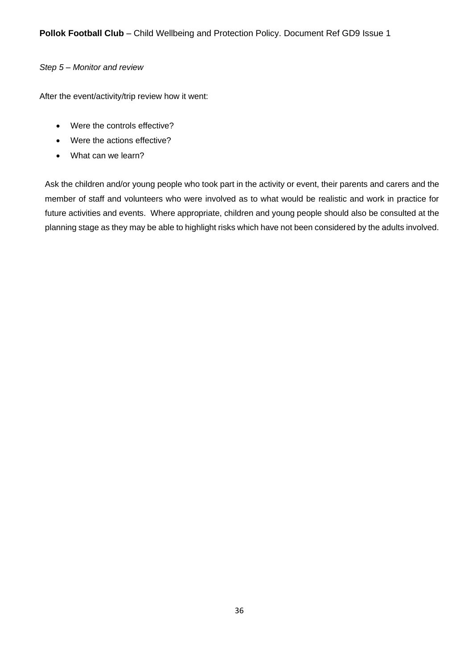## *Step 5 – Monitor and review*

After the event/activity/trip review how it went:

- Were the controls effective?
- Were the actions effective?
- What can we learn?

Ask the children and/or young people who took part in the activity or event, their parents and carers and the member of staff and volunteers who were involved as to what would be realistic and work in practice for future activities and events. Where appropriate, children and young people should also be consulted at the planning stage as they may be able to highlight risks which have not been considered by the adults involved.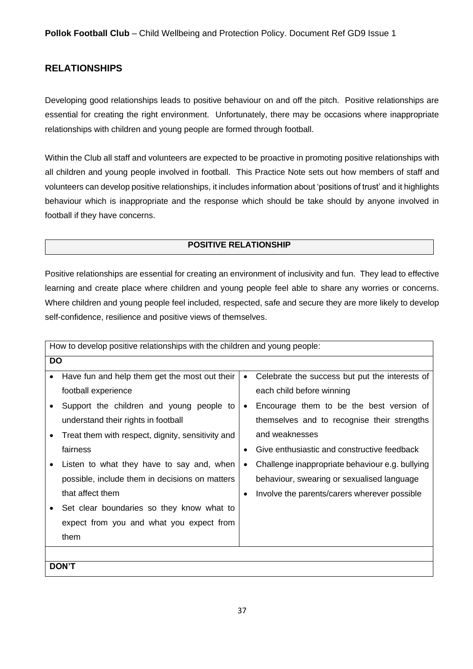# <span id="page-36-0"></span>**RELATIONSHIPS**

Developing good relationships leads to positive behaviour on and off the pitch. Positive relationships are essential for creating the right environment. Unfortunately, there may be occasions where inappropriate relationships with children and young people are formed through football.

Within the Club all staff and volunteers are expected to be proactive in promoting positive relationships with all children and young people involved in football. This Practice Note sets out how members of staff and volunteers can develop positive relationships, it includes information about 'positions of trust' and it highlights behaviour which is inappropriate and the response which should be take should by anyone involved in football if they have concerns.

#### **POSITIVE RELATIONSHIP**

Positive relationships are essential for creating an environment of inclusivity and fun. They lead to effective learning and create place where children and young people feel able to share any worries or concerns. Where children and young people feel included, respected, safe and secure they are more likely to develop self-confidence, resilience and positive views of themselves.

|           | How to develop positive relationships with the children and young people: |           |                                                 |  |
|-----------|---------------------------------------------------------------------------|-----------|-------------------------------------------------|--|
| <b>DO</b> |                                                                           |           |                                                 |  |
|           | Have fun and help them get the most out their                             | $\bullet$ | Celebrate the success but put the interests of  |  |
|           | football experience                                                       |           | each child before winning                       |  |
|           | Support the children and young people to                                  | $\bullet$ | Encourage them to be the best version of        |  |
|           | understand their rights in football                                       |           | themselves and to recognise their strengths     |  |
| $\bullet$ | Treat them with respect, dignity, sensitivity and                         |           | and weaknesses                                  |  |
|           | fairness                                                                  | $\bullet$ | Give enthusiastic and constructive feedback     |  |
|           | Listen to what they have to say and, when                                 | $\bullet$ | Challenge inappropriate behaviour e.g. bullying |  |
|           | possible, include them in decisions on matters                            |           | behaviour, swearing or sexualised language      |  |
|           | that affect them                                                          | $\bullet$ | Involve the parents/carers wherever possible    |  |
|           | Set clear boundaries so they know what to                                 |           |                                                 |  |
|           | expect from you and what you expect from                                  |           |                                                 |  |
|           | them                                                                      |           |                                                 |  |
|           |                                                                           |           |                                                 |  |
|           | <b>DON'T</b>                                                              |           |                                                 |  |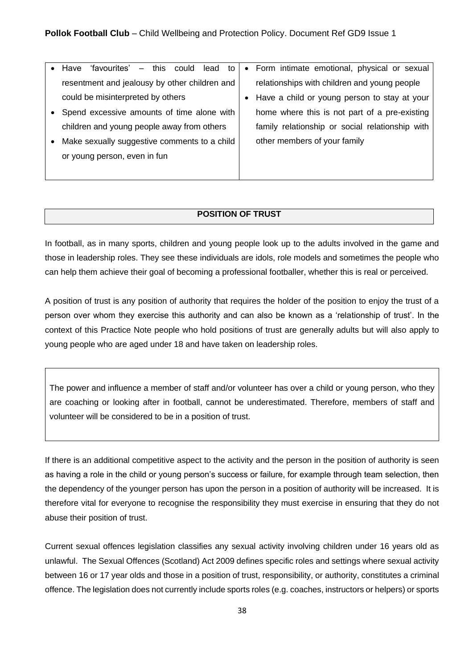|           | - this could lead to<br>Have<br>'favourites'  | • Form intimate emotional, physical or sexual   |
|-----------|-----------------------------------------------|-------------------------------------------------|
|           | resentment and jealousy by other children and | relationships with children and young people    |
|           | could be misinterpreted by others             | • Have a child or young person to stay at your  |
| $\bullet$ | Spend excessive amounts of time alone with    | home where this is not part of a pre-existing   |
|           | children and young people away from others    | family relationship or social relationship with |
| $\bullet$ | Make sexually suggestive comments to a child  | other members of your family                    |
|           | or young person, even in fun                  |                                                 |
|           |                                               |                                                 |

#### **POSITION OF TRUST**

In football, as in many sports, children and young people look up to the adults involved in the game and those in leadership roles. They see these individuals are idols, role models and sometimes the people who can help them achieve their goal of becoming a professional footballer, whether this is real or perceived.

A position of trust is any position of authority that requires the holder of the position to enjoy the trust of a person over whom they exercise this authority and can also be known as a 'relationship of trust'. In the context of this Practice Note people who hold positions of trust are generally adults but will also apply to young people who are aged under 18 and have taken on leadership roles.

The power and influence a member of staff and/or volunteer has over a child or young person, who they are coaching or looking after in football, cannot be underestimated. Therefore, members of staff and volunteer will be considered to be in a position of trust.

If there is an additional competitive aspect to the activity and the person in the position of authority is seen as having a role in the child or young person's success or failure, for example through team selection, then the dependency of the younger person has upon the person in a position of authority will be increased. It is therefore vital for everyone to recognise the responsibility they must exercise in ensuring that they do not abuse their position of trust.

Current sexual offences legislation classifies any sexual activity involving children under 16 years old as unlawful. The Sexual Offences (Scotland) Act 2009 defines specific roles and settings where sexual activity between 16 or 17 year olds and those in a position of trust, responsibility, or authority, constitutes a criminal offence. The legislation does not currently include sports roles (e.g. coaches, instructors or helpers) or sports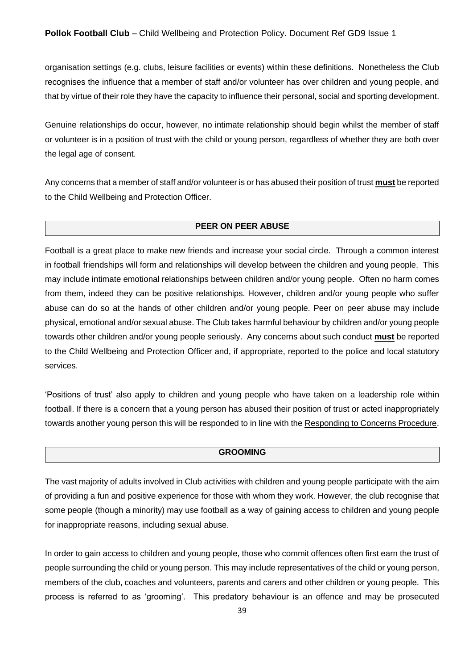organisation settings (e.g. clubs, leisure facilities or events) within these definitions. Nonetheless the Club recognises the influence that a member of staff and/or volunteer has over children and young people, and that by virtue of their role they have the capacity to influence their personal, social and sporting development.

Genuine relationships do occur, however, no intimate relationship should begin whilst the member of staff or volunteer is in a position of trust with the child or young person, regardless of whether they are both over the legal age of consent.

Any concerns that a member of staff and/or volunteer is or has abused their position of trust **must** be reported to the Child Wellbeing and Protection Officer.

#### **PEER ON PEER ABUSE**

Football is a great place to make new friends and increase your social circle. Through a common interest in football friendships will form and relationships will develop between the children and young people. This may include intimate emotional relationships between children and/or young people. Often no harm comes from them, indeed they can be positive relationships. However, children and/or young people who suffer abuse can do so at the hands of other children and/or young people. Peer on peer abuse may include physical, emotional and/or sexual abuse. The Club takes harmful behaviour by children and/or young people towards other children and/or young people seriously. Any concerns about such conduct **must** be reported to the Child Wellbeing and Protection Officer and, if appropriate, reported to the police and local statutory services.

'Positions of trust' also apply to children and young people who have taken on a leadership role within football. If there is a concern that a young person has abused their position of trust or acted inappropriately towards another young person this will be responded to in line with the Responding to Concerns Procedure.

#### **GROOMING**

The vast majority of adults involved in Club activities with children and young people participate with the aim of providing a fun and positive experience for those with whom they work. However, the club recognise that some people (though a minority) may use football as a way of gaining access to children and young people for inappropriate reasons, including sexual abuse.

In order to gain access to children and young people, those who commit offences often first earn the trust of people surrounding the child or young person. This may include representatives of the child or young person, members of the club, coaches and volunteers, parents and carers and other children or young people. This process is referred to as 'grooming'. This predatory behaviour is an offence and may be prosecuted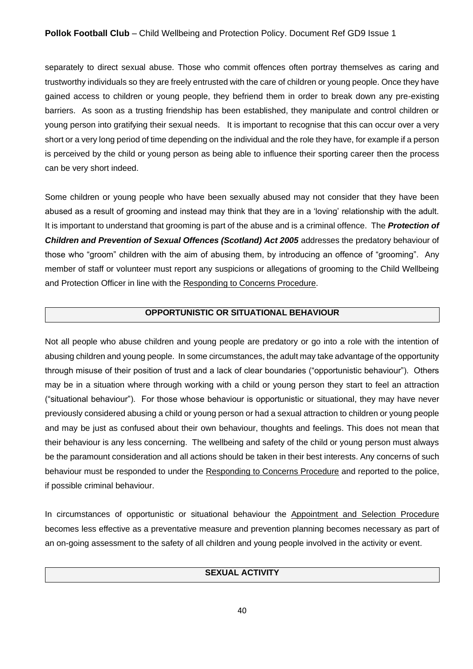## **Pollok Football Club** – Child Wellbeing and Protection Policy. Document Ref GD9 Issue 1

separately to direct sexual abuse. Those who commit offences often portray themselves as caring and trustworthy individuals so they are freely entrusted with the care of children or young people. Once they have gained access to children or young people, they befriend them in order to break down any pre-existing barriers. As soon as a trusting friendship has been established, they manipulate and control children or young person into gratifying their sexual needs. It is important to recognise that this can occur over a very short or a very long period of time depending on the individual and the role they have, for example if a person is perceived by the child or young person as being able to influence their sporting career then the process can be very short indeed.

Some children or young people who have been sexually abused may not consider that they have been abused as a result of grooming and instead may think that they are in a 'loving' relationship with the adult. It is important to understand that grooming is part of the abuse and is a criminal offence. The *Protection of Children and Prevention of Sexual Offences (Scotland) Act 2005* addresses the predatory behaviour of those who "groom" children with the aim of abusing them, by introducing an offence of "grooming". Any member of staff or volunteer must report any suspicions or allegations of grooming to the Child Wellbeing and Protection Officer in line with the Responding to Concerns Procedure.

#### **OPPORTUNISTIC OR SITUATIONAL BEHAVIOUR**

Not all people who abuse children and young people are predatory or go into a role with the intention of abusing children and young people. In some circumstances, the adult may take advantage of the opportunity through misuse of their position of trust and a lack of clear boundaries ("opportunistic behaviour"). Others may be in a situation where through working with a child or young person they start to feel an attraction ("situational behaviour"). For those whose behaviour is opportunistic or situational, they may have never previously considered abusing a child or young person or had a sexual attraction to children or young people and may be just as confused about their own behaviour, thoughts and feelings. This does not mean that their behaviour is any less concerning. The wellbeing and safety of the child or young person must always be the paramount consideration and all actions should be taken in their best interests. Any concerns of such behaviour must be responded to under the Responding to Concerns Procedure and reported to the police, if possible criminal behaviour.

In circumstances of opportunistic or situational behaviour the Appointment and Selection Procedure becomes less effective as a preventative measure and prevention planning becomes necessary as part of an on-going assessment to the safety of all children and young people involved in the activity or event.

# **SEXUAL ACTIVITY**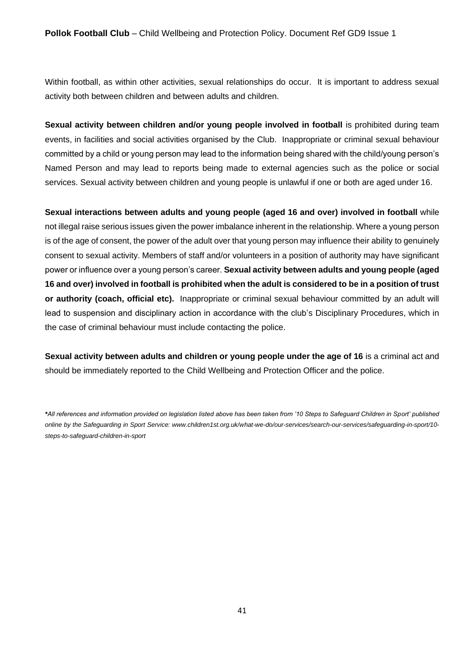Within football, as within other activities, sexual relationships do occur. It is important to address sexual activity both between children and between adults and children.

**Sexual activity between children and/or young people involved in football** is prohibited during team events, in facilities and social activities organised by the Club. Inappropriate or criminal sexual behaviour committed by a child or young person may lead to the information being shared with the child/young person's Named Person and may lead to reports being made to external agencies such as the police or social services. Sexual activity between children and young people is unlawful if one or both are aged under 16.

**Sexual interactions between adults and young people (aged 16 and over) involved in football** while not illegal raise serious issues given the power imbalance inherent in the relationship. Where a young person is of the age of consent, the power of the adult over that young person may influence their ability to genuinely consent to sexual activity. Members of staff and/or volunteers in a position of authority may have significant power or influence over a young person's career. **Sexual activity between adults and young people (aged 16 and over) involved in football is prohibited when the adult is considered to be in a position of trust or authority (coach, official etc).** Inappropriate or criminal sexual behaviour committed by an adult will lead to suspension and disciplinary action in accordance with the club's Disciplinary Procedures, which in the case of criminal behaviour must include contacting the police.

**Sexual activity between adults and children or young people under the age of 16** is a criminal act and should be immediately reported to the Child Wellbeing and Protection Officer and the police.

*<sup>\*</sup>All references and information provided on legislation listed above has been taken from '10 Steps to Safeguard Children in Sport' published online by the Safeguarding in Sport Service: www.children1st.org.uk/what-we-do/our-services/search-our-services/safeguarding-in-sport/10 steps-to-safeguard-children-in-sport*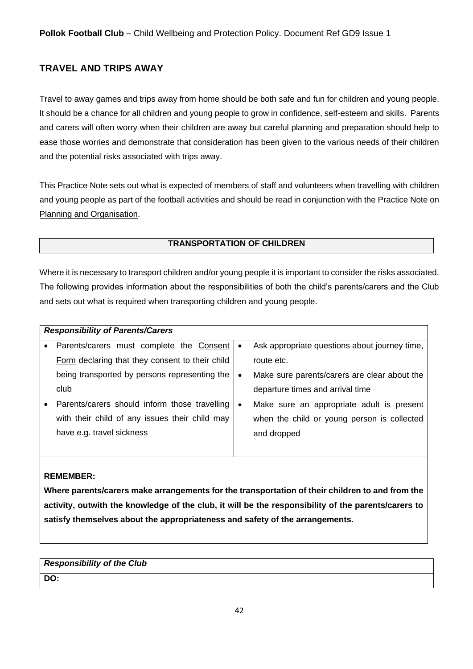# <span id="page-41-0"></span>**TRAVEL AND TRIPS AWAY**

Travel to away games and trips away from home should be both safe and fun for children and young people. It should be a chance for all children and young people to grow in confidence, self-esteem and skills. Parents and carers will often worry when their children are away but careful planning and preparation should help to ease those worries and demonstrate that consideration has been given to the various needs of their children and the potential risks associated with trips away.

This Practice Note sets out what is expected of members of staff and volunteers when travelling with children and young people as part of the football activities and should be read in conjunction with the Practice Note on Planning and Organisation.

# **TRANSPORTATION OF CHILDREN**

Where it is necessary to transport children and/or young people it is important to consider the risks associated. The following provides information about the responsibilities of both the child's parents/carers and the Club and sets out what is required when transporting children and young people.

|           | <b>Responsibility of Parents/Carers</b>         |           |                                               |
|-----------|-------------------------------------------------|-----------|-----------------------------------------------|
| $\bullet$ | Parents/carers must complete the Consent        | $\bullet$ | Ask appropriate questions about journey time, |
|           | Form declaring that they consent to their child |           | route etc.                                    |
|           | being transported by persons representing the   | $\bullet$ | Make sure parents/carers are clear about the  |
|           | club                                            |           | departure times and arrival time              |
|           | Parents/carers should inform those travelling   | $\bullet$ | Make sure an appropriate adult is present     |
|           | with their child of any issues their child may  |           | when the child or young person is collected   |
|           | have e.g. travel sickness                       |           | and dropped                                   |
|           |                                                 |           |                                               |

# **REMEMBER:**

**Where parents/carers make arrangements for the transportation of their children to and from the activity, outwith the knowledge of the club, it will be the responsibility of the parents/carers to satisfy themselves about the appropriateness and safety of the arrangements.** 

# *Responsibility of the Club*  **DO:**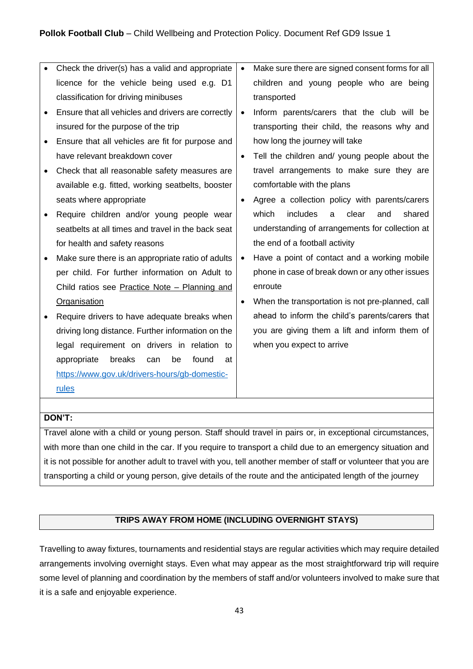|   | Check the driver(s) has a valid and appropriate    | $\bullet$ | Make sure there are signed consent forms for all |
|---|----------------------------------------------------|-----------|--------------------------------------------------|
|   | licence for the vehicle being used e.g. D1         |           | children and young people who are being          |
|   | classification for driving minibuses               |           | transported                                      |
|   | Ensure that all vehicles and drivers are correctly | $\bullet$ | Inform parents/carers that the club will be      |
|   | insured for the purpose of the trip                |           | transporting their child, the reasons why and    |
|   | Ensure that all vehicles are fit for purpose and   |           | how long the journey will take                   |
|   | have relevant breakdown cover                      | $\bullet$ | Tell the children and/ young people about the    |
|   | Check that all reasonable safety measures are      |           | travel arrangements to make sure they are        |
|   | available e.g. fitted, working seatbelts, booster  |           | comfortable with the plans                       |
|   | seats where appropriate                            | $\bullet$ | Agree a collection policy with parents/carers    |
|   | Require children and/or young people wear          |           | which<br>includes<br>clear<br>shared<br>and<br>a |
|   | seatbelts at all times and travel in the back seat |           | understanding of arrangements for collection at  |
|   | for health and safety reasons                      |           | the end of a football activity                   |
| ٠ | Make sure there is an appropriate ratio of adults  | $\bullet$ | Have a point of contact and a working mobile     |
|   | per child. For further information on Adult to     |           | phone in case of break down or any other issues  |
|   | Child ratios see Practice Note - Planning and      |           | enroute                                          |
|   | <b>Organisation</b>                                | $\bullet$ | When the transportation is not pre-planned, call |
|   | Require drivers to have adequate breaks when       |           | ahead to inform the child's parents/carers that  |
|   | driving long distance. Further information on the  |           | you are giving them a lift and inform them of    |
|   | legal requirement on drivers in relation to        |           | when you expect to arrive                        |
|   | breaks<br>be<br>found<br>appropriate<br>can<br>at  |           |                                                  |
|   | https://www.gov.uk/drivers-hours/gb-domestic-      |           |                                                  |
|   | rules                                              |           |                                                  |

# **DON'T:**

Travel alone with a child or young person. Staff should travel in pairs or, in exceptional circumstances, with more than one child in the car. If you require to transport a child due to an emergency situation and it is not possible for another adult to travel with you, tell another member of staff or volunteer that you are transporting a child or young person, give details of the route and the anticipated length of the journey

# **TRIPS AWAY FROM HOME (INCLUDING OVERNIGHT STAYS)**

Travelling to away fixtures, tournaments and residential stays are regular activities which may require detailed arrangements involving overnight stays. Even what may appear as the most straightforward trip will require some level of planning and coordination by the members of staff and/or volunteers involved to make sure that it is a safe and enjoyable experience.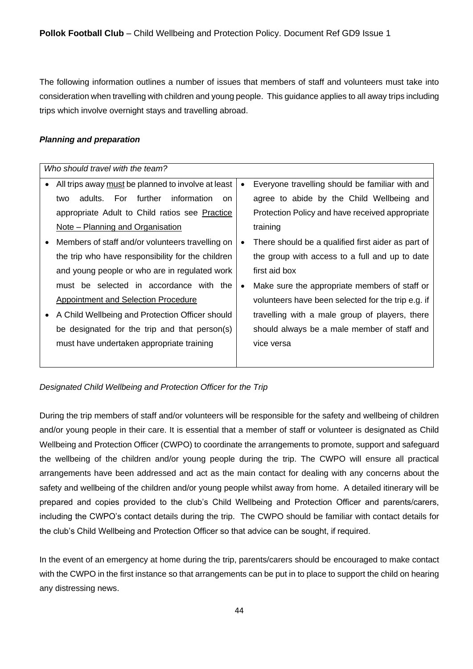The following information outlines a number of issues that members of staff and volunteers must take into consideration when travelling with children and young people. This guidance applies to all away trips including trips which involve overnight stays and travelling abroad.

# *Planning and preparation*

| Who should travel with the team?                                |                                                         |  |  |
|-----------------------------------------------------------------|---------------------------------------------------------|--|--|
| All trips away must be planned to involve at least<br>$\bullet$ | Everyone travelling should be familiar with and<br>٠    |  |  |
| adults. For further<br>information<br>two<br><sub>on</sub>      | agree to abide by the Child Wellbeing and               |  |  |
| appropriate Adult to Child ratios see Practice                  | Protection Policy and have received appropriate         |  |  |
| Note - Planning and Organisation                                | training                                                |  |  |
| Members of staff and/or volunteers travelling on                | There should be a qualified first aider as part of<br>٠ |  |  |
| the trip who have responsibility for the children               | the group with access to a full and up to date          |  |  |
| and young people or who are in regulated work                   | first aid box                                           |  |  |
| must be selected in accordance with the                         | Make sure the appropriate members of staff or<br>٠      |  |  |
| Appointment and Selection Procedure                             | volunteers have been selected for the trip e.g. if      |  |  |
| A Child Wellbeing and Protection Officer should                 | travelling with a male group of players, there          |  |  |
| be designated for the trip and that person(s)                   | should always be a male member of staff and             |  |  |
| must have undertaken appropriate training                       | vice versa                                              |  |  |
|                                                                 |                                                         |  |  |

*Designated Child Wellbeing and Protection Officer for the Trip*

During the trip members of staff and/or volunteers will be responsible for the safety and wellbeing of children and/or young people in their care. It is essential that a member of staff or volunteer is designated as Child Wellbeing and Protection Officer (CWPO) to coordinate the arrangements to promote, support and safeguard the wellbeing of the children and/or young people during the trip. The CWPO will ensure all practical arrangements have been addressed and act as the main contact for dealing with any concerns about the safety and wellbeing of the children and/or young people whilst away from home. A detailed itinerary will be prepared and copies provided to the club's Child Wellbeing and Protection Officer and parents/carers, including the CWPO's contact details during the trip. The CWPO should be familiar with contact details for the club's Child Wellbeing and Protection Officer so that advice can be sought, if required.

In the event of an emergency at home during the trip, parents/carers should be encouraged to make contact with the CWPO in the first instance so that arrangements can be put in to place to support the child on hearing any distressing news.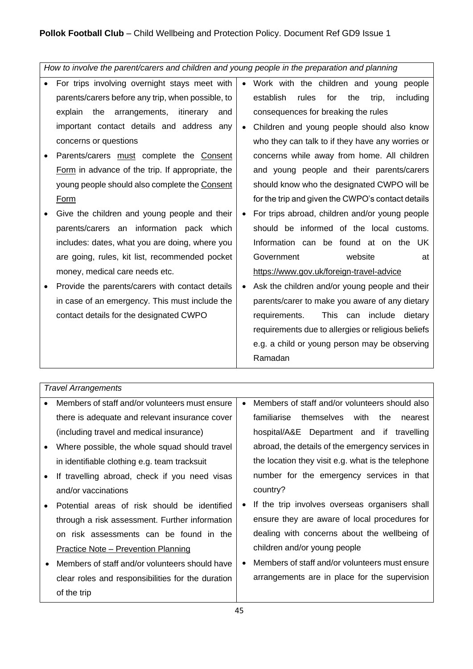*How to involve the parent/carers and children and young people in the preparation and planning*

- For trips involving overnight stays meet with parents/carers before any trip, when possible, to explain the arrangements, itinerary and important contact details and address any concerns or questions
- Parents/carers must complete the Consent Form in advance of the trip. If appropriate, the young people should also complete the Consent Form
- Give the children and young people and their parents/carers an information pack which includes: dates, what you are doing, where you are going, rules, kit list, recommended pocket money, medical care needs etc.
- Provide the parents/carers with contact details in case of an emergency. This must include the contact details for the designated CWPO
- Work with the children and young people establish rules for the trip, including consequences for breaking the rules
- Children and young people should also know who they can talk to if they have any worries or concerns while away from home. All children and young people and their parents/carers should know who the designated CWPO will be for the trip and given the CWPO's contact details
- For trips abroad, children and/or young people should be informed of the local customs. Information can be found at on the UK Government website at https://www.gov.uk/foreign-travel-advice
- Ask the children and/or young people and their parents/carer to make you aware of any dietary requirements. This can include dietary requirements due to allergies or religious beliefs e.g. a child or young person may be observing Ramadan

*Travel Arrangements*

| $\bullet$ | Members of staff and/or volunteers must ensure    |           | Members of staff and/or volunteers should also     |
|-----------|---------------------------------------------------|-----------|----------------------------------------------------|
|           | there is adequate and relevant insurance cover    |           | themselves with<br>familiarise<br>the<br>nearest   |
|           | (including travel and medical insurance)          |           | hospital/A&E Department and if<br>travelling       |
| $\bullet$ | Where possible, the whole squad should travel     |           | abroad, the details of the emergency services in   |
|           | in identifiable clothing e.g. team tracksuit      |           | the location they visit e.g. what is the telephone |
| $\bullet$ | If travelling abroad, check if you need visas     |           | number for the emergency services in that          |
|           | and/or vaccinations                               |           | country?                                           |
| $\bullet$ | Potential areas of risk should be identified      | $\bullet$ | If the trip involves overseas organisers shall     |
|           | through a risk assessment. Further information    |           | ensure they are aware of local procedures for      |
|           | on risk assessments can be found in the           |           | dealing with concerns about the wellbeing of       |
|           | <b>Practice Note - Prevention Planning</b>        |           | children and/or young people                       |
| $\bullet$ | Members of staff and/or volunteers should have    |           | Members of staff and/or volunteers must ensure     |
|           | clear roles and responsibilities for the duration |           | arrangements are in place for the supervision      |
|           | of the trip                                       |           |                                                    |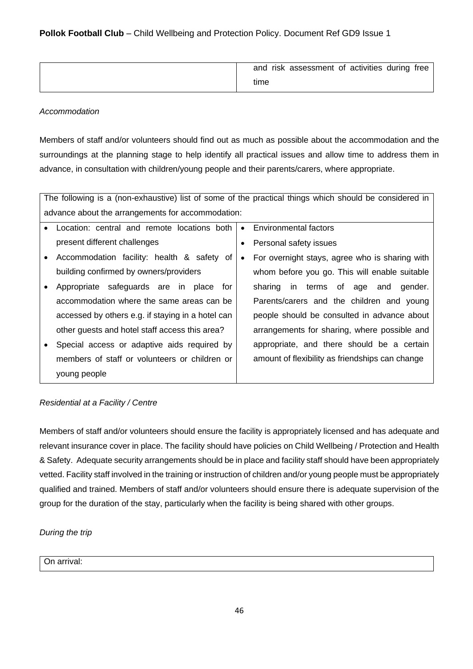| and risk assessment of activities during free |
|-----------------------------------------------|
| time                                          |

# *Accommodation*

Members of staff and/or volunteers should find out as much as possible about the accommodation and the surroundings at the planning stage to help identify all practical issues and allow time to address them in advance, in consultation with children/young people and their parents/carers, where appropriate.

| The following is a (non-exhaustive) list of some of the practical things which should be considered in |                                                             |  |  |
|--------------------------------------------------------------------------------------------------------|-------------------------------------------------------------|--|--|
| advance about the arrangements for accommodation:                                                      |                                                             |  |  |
| Location: central and remote locations both<br>$\bullet$                                               | Environmental factors<br>$\bullet$                          |  |  |
| present different challenges                                                                           | Personal safety issues                                      |  |  |
| Accommodation facility: health & safety of<br>$\bullet$                                                | For overnight stays, agree who is sharing with<br>$\bullet$ |  |  |
| building confirmed by owners/providers                                                                 | whom before you go. This will enable suitable               |  |  |
| Appropriate safeguards are in place for<br>$\bullet$                                                   | sharing in terms of age and gender.                         |  |  |
| accommodation where the same areas can be                                                              | Parents/carers and the children and young                   |  |  |
| accessed by others e.g. if staying in a hotel can                                                      | people should be consulted in advance about                 |  |  |
| other guests and hotel staff access this area?                                                         | arrangements for sharing, where possible and                |  |  |
| Special access or adaptive aids required by                                                            | appropriate, and there should be a certain                  |  |  |
| members of staff or volunteers or children or                                                          | amount of flexibility as friendships can change             |  |  |
| young people                                                                                           |                                                             |  |  |

# *Residential at a Facility / Centre*

Members of staff and/or volunteers should ensure the facility is appropriately licensed and has adequate and relevant insurance cover in place. The facility should have policies on Child Wellbeing / Protection and Health & Safety. Adequate security arrangements should be in place and facility staff should have been appropriately vetted. Facility staff involved in the training or instruction of children and/or young people must be appropriately qualified and trained. Members of staff and/or volunteers should ensure there is adequate supervision of the group for the duration of the stay, particularly when the facility is being shared with other groups.

# *During the trip*

On arrival: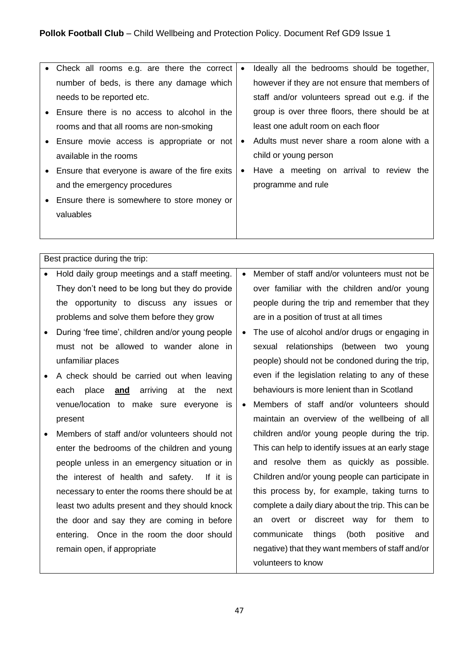| • Check all rooms e.g. are there the correct    | $\bullet$ | Ideally all the bedrooms should be together,   |
|-------------------------------------------------|-----------|------------------------------------------------|
| number of beds, is there any damage which       |           | however if they are not ensure that members of |
| needs to be reported etc.                       |           | staff and/or volunteers spread out e.g. if the |
| Ensure there is no access to alcohol in the     |           | group is over three floors, there should be at |
| rooms and that all rooms are non-smoking        |           | least one adult room on each floor             |
| • Ensure movie access is appropriate or not     | $\bullet$ | Adults must never share a room alone with a    |
| available in the rooms                          |           | child or young person                          |
| Ensure that everyone is aware of the fire exits | $\bullet$ | Have a meeting on arrival to review the        |
| and the emergency procedures                    |           | programme and rule                             |
| Ensure there is somewhere to store money or     |           |                                                |
| valuables                                       |           |                                                |
|                                                 |           |                                                |

Best practice during the trip:

- Hold daily group meetings and a staff meeting. They don't need to be long but they do provide the opportunity to discuss any issues or problems and solve them before they grow
- During 'free time', children and/or young people must not be allowed to wander alone in unfamiliar places
- A check should be carried out when leaving each place **and** arriving at the next venue/location to make sure everyone is present
- Members of staff and/or volunteers should not enter the bedrooms of the children and young people unless in an emergency situation or in the interest of health and safety. If it is necessary to enter the rooms there should be at least two adults present and they should knock the door and say they are coming in before entering. Once in the room the door should remain open, if appropriate
- Member of staff and/or volunteers must not be over familiar with the children and/or young people during the trip and remember that they are in a position of trust at all times
- The use of alcohol and/or drugs or engaging in sexual relationships (between two young people) should not be condoned during the trip, even if the legislation relating to any of these behaviours is more lenient than in Scotland
- Members of staff and/or volunteers should maintain an overview of the wellbeing of all children and/or young people during the trip. This can help to identify issues at an early stage and resolve them as quickly as possible. Children and/or young people can participate in this process by, for example, taking turns to complete a daily diary about the trip. This can be an overt or discreet way for them to communicate things (both positive and negative) that they want members of staff and/or volunteers to know